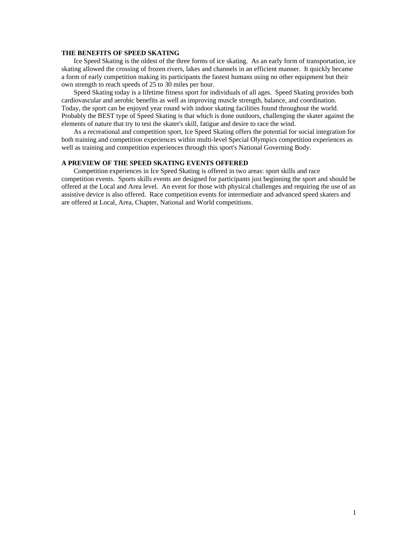#### **THE BENEFITS OF SPEED SKATING**

Ice Speed Skating is the oldest of the three forms of ice skating. As an early form of transportation, ice skating allowed the crossing of frozen rivers, lakes and channels in an efficient manner. It quickly became a form of early competition making its participants the fastest humans using no other equipment but their own strength to reach speeds of 25 to 30 miles per hour.

Speed Skating today is a lifetime fitness sport for individuals of all ages. Speed Skating provides both cardiovascular and aerobic benefits as well as improving muscle strength, balance, and coordination. Today, the sport can be enjoyed year round with indoor skating facilities found throughout the world. Probably the BEST type of Speed Skating is that which is done outdoors, challenging the skater against the elements of nature that try to test the skater's skill, fatigue and desire to race the wind.

As a recreational and competition sport, Ice Speed Skating offers the potential for social integration for both training and competition experiences within multi-level Special Olympics competition experiences as well as training and competition experiences through this sport's National Governing Body.

# **A PREVIEW OF THE SPEED SKATING EVENTS OFFERED**

Competition experiences in Ice Speed Skating is offered in two areas: sport skills and race competition events. Sports skills events are designed for participants just beginning the sport and should be offered at the Local and Area level. An event for those with physical challenges and requiring the use of an assistive device is also offered. Race competition events for intermediate and advanced speed skaters and are offered at Local, Area, Chapter, National and World competitions.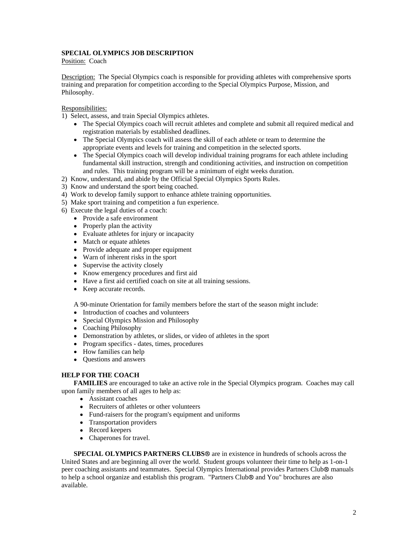# **SPECIAL OLYMPICS JOB DESCRIPTION**

Position: Coach **Position:** Coach **Position:** Coach **Position:** Coach **Position:** Coach **Position:** Coach **Position:** Coach **Position:** Coach **Position:** Coach **Position:** Coach **Position:** Coach **Position:** Coach **Positio** 

Description: The Special Olympics coach is responsible for providing athletes with comprehensive sports training and preparation for competition according to the Special Olympics Purpose, Mission, and Philosophy.

Responsibilities:

- 1) Select, assess, and train Special Olympics athletes.
	- The Special Olympics coach will recruit athletes and complete and submit all required medical and registration materials by established deadlines.
	- The Special Olympics coach will assess the skill of each athlete or team to determine the appropriate events and levels for training and competition in the selected sports.
	- The Special Olympics coach will develop individual training programs for each athlete including fundamental skill instruction, strength and conditioning activities, and instruction on competition and rules. This training program will be a minimum of eight weeks duration.
- 2) Know, understand, and abide by the Official Special Olympics Sports Rules.
- 3) Know and understand the sport being coached.
- 4) Work to develop family support to enhance athlete training opportunities.
- 5) Make sport training and competition a fun experience.
- 6) Execute the legal duties of a coach:
	- Provide a safe environment<br>• Properly plan the activity
	- Properly plan the activity example of the set of the set of the set of the set of the set of the set of the set of the set of the set of the set of the set of the set of the set of the set of the set of the set of the set
	- Evaluate athletes for injury or incapacity
	- Match or equate athletes
	- Provide adequate and proper equipment
	- Warn of inherent risks in the sport
	- Supervise the activity closely example of the state of the state of the state of the state of the state of the state of the state of the state of the state of the state of the state of the state of the state of the state o
	- Know emergency procedures and first aid
	- Have a first aid certified coach on site at all training sessions.
	- Keep accurate records.

A 90-minute Orientation for family members before the start of the season might include:

- Introduction of coaches and volunteers
- Special Olympics Mission and Philosophy
- Coaching Philosophy
- Demonstration by athletes, or slides, or video of athletes in the sport
- Program specifics dates, times, procedures
- How families can help
- Questions and answers

# **HELP FOR THE COACH**

**FAMILIES** are encouraged to take an active role in the Special Olympics program. Coaches may call upon family members of all ages to help as:

- Assistant coaches
- Recruiters of athletes or other volunteers
- Fund-raisers for the program's equipment and uniforms
- Transportation providers
- Record keepers
- Chaperones for travel.

**SPECIAL OLYMPICS PARTNERS CLUBS** are in existence in hundreds of schools across the United States and are beginning all over the world. Student groups volunteer their time to help as 1-on-1 peer coaching assistants and teammates. Special Olympics International provides Partners Club® manuals to help a school organize and establish this program. "Partners Club® and You" brochures are also available.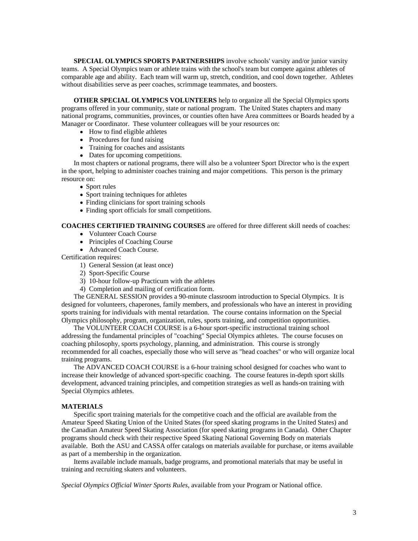**SPECIAL OLYMPICS SPORTS PARTNERSHIPS** involve schools' varsity and/or junior varsity teams. A Special Olympics team or athlete trains with the school's team but compete against athletes of comparable age and ability. Each team will warm up, stretch, condition, and cool down together. Athletes without disabilities serve as peer coaches, scrimmage teammates, and boosters.

**OTHER SPECIAL OLYMPICS VOLUNTEERS** help to organize all the Special Olympics sports programs offered in your community, state or national program. The United States chapters and many national programs, communities, provinces, or counties often have Area committees or Boards headed by a Manager or Coordinator. These volunteer colleagues will be your resources on:

- How to find eligible athletes
- Procedures for fund raising **Exercise 2.1** Figure 2.1 Figure 2.1 Figure 2.1 Figure 2.1 Figure 2.1 Figure 2.1 Figure 2.1 Figure 2.1 Figure 2.1 Figure 2.1 Figure 2.1 Figure 2.1 Figure 2.1 Figure 2.1 Figure 2.1 Figure 2.1 Fig
- Training for coaches and assistants
- Dates for upcoming competitions.

In most chapters or national programs, there will also be a volunteer Sport Director who is the expert in the sport, helping to administer coaches training and major competitions. This person is the primary resource on:

- Sport rules
- Sport training techniques for athletes
- Finding clinicians for sport training schools
- Finding sport officials for small competitions.

#### **COACHES CERTIFIED TRAINING COURSES** are offered for three different skill needs of coaches:

- Volunteer Coach Course
- Principles of Coaching Course
- Advanced Coach Course.

Certification requires:

- 1) General Session (at least once)
- 2) Sport-Specific Course
- 3) 10-hour follow-up Practicum with the athletes
- 4) Completion and mailing of certification form.

The GENERAL SESSION provides a 90-minute classroom introduction to Special Olympics. It is designed for volunteers, chaperones, family members, and professionals who have an interest in providing sports training for individuals with mental retardation. The course contains information on the Special Olympics philosophy, program, organization, rules, sports training, and competition opportunities.

The VOLUNTEER COACH COURSE is a 6-hour sport-specific instructional training school addressing the fundamental principles of "coaching" Special Olympics athletes. The course focuses on coaching philosophy, sports psychology, planning, and administration. This course is strongly recommended for all coaches, especially those who will serve as "head coaches" or who will organize local training programs.

The ADVANCED COACH COURSE is a 6-hour training school designed for coaches who want to increase their knowledge of advanced sport-specific coaching. The course features in-depth sport skills development, advanced training principles, and competition strategies as well as hands-on training with Special Olympics athletes.

### **MATERIALS**

Specific sport training materials for the competitive coach and the official are available from the Amateur Speed Skating Union of the United States (for speed skating programs in the United States) and the Canadian Amateur Speed Skating Association (for speed skating programs in Canada). Other Chapter programs should check with their respective Speed Skating National Governing Body on materials available. Both the ASU and CASSA offer catalogs on materials available for purchase, or items available as part of a membership in the organization.

Items available include manuals, badge programs, and promotional materials that may be useful in training and recruiting skaters and volunteers.

*Special Olympics Official Winter Sports Rules*, available from your Program or National office.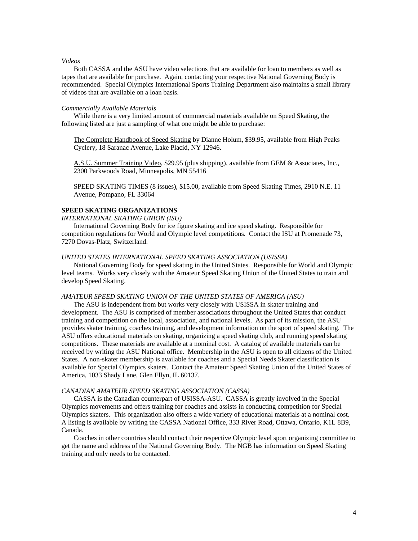#### *Videos*

Both CASSA and the ASU have video selections that are available for loan to members as well as tapes that are available for purchase. Again, contacting your respective National Governing Body is recommended. Special Olympics International Sports Training Department also maintains a small library of videos that are available on a loan basis.

#### *Commercially Available Materials*

While there is a very limited amount of commercial materials available on Speed Skating, the following listed are just a sampling of what one might be able to purchase:

The Complete Handbook of Speed Skating by Dianne Holum, \$39.95, available from High Peaks Cyclery, 18 Saranac Avenue, Lake Placid, NY 12946.

A.S.U. Summer Training Video, \$29.95 (plus shipping), available from GEM & Associates, Inc., 2300 Parkwoods Road, Minneapolis, MN 55416

SPEED SKATING TIMES (8 issues), \$15.00, available from Speed Skating Times, 2910 N.E. 11 Avenue, Pompano, FL 33064

### **SPEED SKATING ORGANIZATIONS**

*INTERNATIONAL SKATING UNION (ISU)*

International Governing Body for ice figure skating and ice speed skating. Responsible for competition regulations for World and Olympic level competitions. Contact the ISU at Promenade 73, 7270 Dovas-Platz, Switzerland.

#### *UNITED STATES INTERNATIONAL SPEED SKATING ASSOCIATION (USISSA)*

National Governing Body for speed skating in the United States. Responsible for World and Olympic level teams. Works very closely with the Amateur Speed Skating Union of the United States to train and develop Speed Skating.

### *AMATEUR SPEED SKATING UNION OF THE UNITED STATES OF AMERICA (ASU)*

The ASU is independent from but works very closely with USISSA in skater training and development. The ASU is comprised of member associations throughout the United States that conduct training and competition on the local, association, and national levels. As part of its mission, the ASU provides skater training, coaches training, and development information on the sport of speed skating. The ASU offers educational materials on skating, organizing a speed skating club, and running speed skating competitions. These materials are available at a nominal cost. A catalog of available materials can be received by writing the ASU National office. Membership in the ASU is open to all citizens of the United States. A non-skater membership is available for coaches and a Special Needs Skater classification is available for Special Olympics skaters. Contact the Amateur Speed Skating Union of the United States of America, 1033 Shady Lane, Glen Ellyn, IL 60137.

#### *CANADIAN AMATEUR SPEED SKATING ASSOCIATION (CASSA)*

CASSA is the Canadian counterpart of USISSA-ASU. CASSA is greatly involved in the Special Olympics movements and offers training for coaches and assists in conducting competition for Special Olympics skaters. This organization also offers a wide variety of educational materials at a nominal cost. A listing is available by writing the CASSA National Office, 333 River Road, Ottawa, Ontario, K1L 8B9, Canada.

Coaches in other countries should contact their respective Olympic level sport organizing committee to get the name and address of the National Governing Body. The NGB has information on Speed Skating training and only needs to be contacted.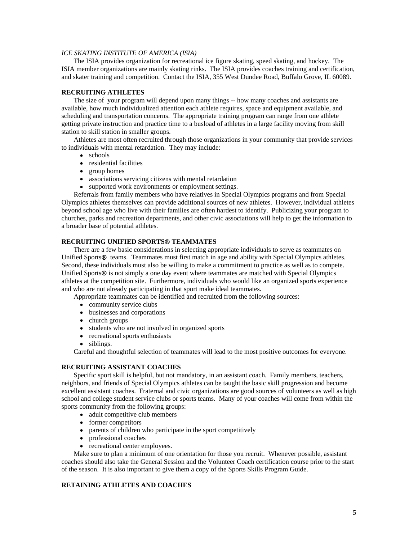### *ICE SKATING INSTITUTE OF AMERICA (ISIA)*

The ISIA provides organization for recreational ice figure skating, speed skating, and hockey. The ISIA member organizations are mainly skating rinks. The ISIA provides coaches training and certification, and skater training and competition. Contact the ISIA, 355 West Dundee Road, Buffalo Grove, IL 60089.

#### **RECRUITING ATHLETES**

The size of your program will depend upon many things -- how many coaches and assistants are available, how much individualized attention each athlete requires, space and equipment available, and scheduling and transportation concerns. The appropriate training program can range from one athlete getting private instruction and practice time to a busload of athletes in a large facility moving from skill station to skill station in smaller groups.

Athletes are most often recruited through those organizations in your community that provide services to individuals with mental retardation. They may include:

- schools and the set of the set of the set of the set of the set of the set of the set of the set of the set of the set of the set of the set of the set of the set of the set of the set of the set of the set of the set of t
- residential facilities
- group homes
- associations servicing citizens with mental retardation
- supported work environments or employment settings.

Referrals from family members who have relatives in Special Olympics programs and from Special Olympics athletes themselves can provide additional sources of new athletes. However, individual athletes beyond school age who live with their families are often hardest to identify. Publicizing your program to churches, parks and recreation departments, and other civic associations will help to get the information to a broader base of potential athletes.

#### **RECRUITING UNIFIED SPORTS® TEAMMATES**

There are a few basic considerations in selecting appropriate individuals to serve as teammates on Unified Sports<sup>®</sup> teams. Teammates must first match in age and ability with Special Olympics athletes. Second, these individuals must also be willing to make a commitment to practice as well as to compete. Unified Sports $\circledast$  is not simply a one day event where teammates are matched with Special Olympics athletes at the competition site. Furthermore, individuals who would like an organized sports experience and who are not already participating in that sport make ideal teammates.

Appropriate teammates can be identified and recruited from the following sources:

- community service clubs
- businesses and corporations<br>• church groups
- church groups and the change of the change of the change of the change of the change of the change of the change of the change of the change of the change of the change of the change of the change of the change of the chan
- students who are not involved in organized sports
- recreational sports enthusiasts
- siblings.

Careful and thoughtful selection of teammates will lead to the most positive outcomes for everyone.

#### **RECRUITING ASSISTANT COACHES**

Specific sport skill is helpful, but not mandatory, in an assistant coach. Family members, teachers, neighbors, and friends of Special Olympics athletes can be taught the basic skill progression and become excellent assistant coaches. Fraternal and civic organizations are good sources of volunteers as well as high school and college student service clubs or sports teams. Many of your coaches will come from within the sports community from the following groups:

• adult competitive club members

- former competitors and the state of the state of the state of the state of the state of the state of the state of the state of the state of the state of the state of the state of the state of the state of the state of the
- parents of children who participate in the sport competitively
- professional coaches
- recreational center employees.

Make sure to plan a minimum of one orientation for those you recruit. Whenever possible, assistant coaches should also take the General Session and the Volunteer Coach certification course prior to the start of the season. It is also important to give them a copy of the Sports Skills Program Guide.

#### **RETAINING ATHLETES AND COACHES**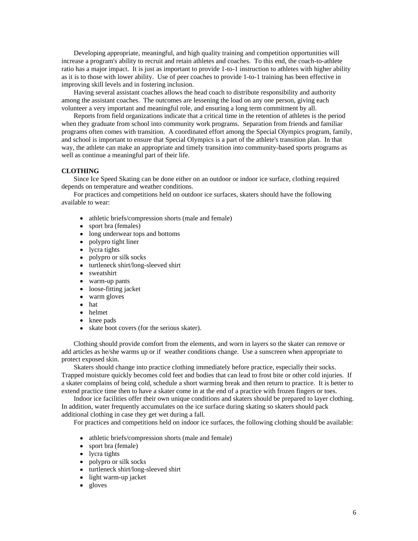Developing appropriate, meaningful, and high quality training and competition opportunities will increase a program's ability to recruit and retain athletes and coaches. To this end, the coach-to-athlete ratio has a major impact. It is just as important to provide 1-to-1 instruction to athletes with higher ability as it is to those with lower ability. Use of peer coaches to provide 1-to-1 training has been effective in improving skill levels and in fostering inclusion.

Having several assistant coaches allows the head coach to distribute responsibility and authority among the assistant coaches. The outcomes are lessening the load on any one person, giving each volunteer a very important and meaningful role, and ensuring a long term commitment by all.

Reports from field organizations indicate that a critical time in the retention of athletes is the period when they graduate from school into community work programs. Separation from friends and familiar programs often comes with transition. A coordinated effort among the Special Olympics program, family, and school is important to ensure that Special Olympics is a part of the athlete's transition plan. In that way, the athlete can make an appropriate and timely transition into community-based sports programs as well as continue a meaningful part of their life.

#### **CLOTHING**

Since Ice Speed Skating can be done either on an outdoor or indoor ice surface, clothing required depends on temperature and weather conditions.

For practices and competitions held on outdoor ice surfaces, skaters should have the following available to wear:

- athletic briefs/compression shorts (male and female)<br>• sport bra (females)
- sport bra (females)
- long underwear tops and bottoms
- polypro tight liner
- lycra tights
- $\bullet$ polypro or silk socks
- turtleneck shirt/long-sleeved shirt
- sweatshirt
- warm-up pants and the state of the state of the state of the state of the state of the state of the state of the state of the state of the state of the state of the state of the state of the state of the state of the state
- loose-fitting jacket<br>• warm gloves
- warm gloves **that the contract of the contract of the contract of the contract of the contract of the contract of the contract of the contract of the contract of the contract of the contract of the contract of the contract**
- hat also be a set of the contract of the contract of the contract of the contract of the contract of the contract of the contract of the contract of the contract of the contract of the contract of the contract of the contr
- helmet
- knee pads
- skate boot covers (for the serious skater).

Clothing should provide comfort from the elements, and worn in layers so the skater can remove or add articles as he/she warms up or if weather conditions change. Use a sunscreen when appropriate to protect exposed skin.

Skaters should change into practice clothing immediately before practice, especially their socks. Trapped moisture quickly becomes cold feet and bodies that can lead to frost bite or other cold injuries. If a skater complains of being cold, schedule a short warming break and then return to practice. It is better to extend practice time then to have a skater come in at the end of a practice with frozen fingers or toes.

Indoor ice facilities offer their own unique conditions and skaters should be prepared to layer clothing. In addition, water frequently accumulates on the ice surface during skating so skaters should pack additional clothing in case they get wet during a fall.

For practices and competitions held on indoor ice surfaces, the following clothing should be available:

- athletic briefs/compression shorts (male and female)
- sport bra (female)
- lycra tights
- polypro or silk socks
- turtleneck shirt/long-sleeved shirt
- light warm-up jacket
- gloves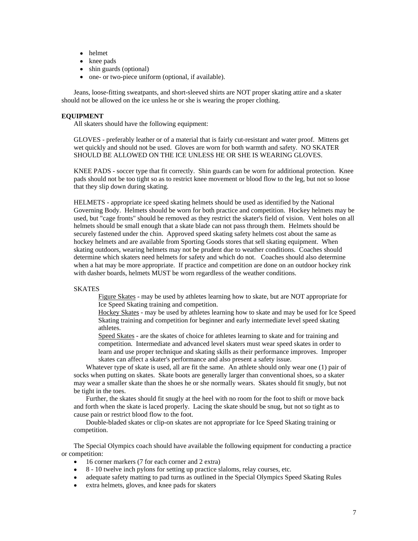- helmet
- knee pads
- shin guards (optional)
- one- or two-piece uniform (optional, if available).

Jeans, loose-fitting sweatpants, and short-sleeved shirts are NOT proper skating attire and a skater should not be allowed on the ice unless he or she is wearing the proper clothing.

### **EQUIPMENT**

All skaters should have the following equipment:

GLOVES - preferably leather or of a material that is fairly cut-resistant and water proof. Mittens get wet quickly and should not be used. Gloves are worn for both warmth and safety. NO SKATER SHOULD BE ALLOWED ON THE ICE UNLESS HE OR SHE IS WEARING GLOVES.

KNEE PADS - soccer type that fit correctly. Shin guards can be worn for additional protection. Knee pads should not be too tight so as to restrict knee movement or blood flow to the leg, but not so loose that they slip down during skating.

HELMETS - appropriate ice speed skating helmets should be used as identified by the National Governing Body. Helmets should be worn for both practice and competition. Hockey helmets may be used, but "cage fronts" should be removed as they restrict the skater's field of vision. Vent holes on all helmets should be small enough that a skate blade can not pass through them. Helmets should be securely fastened under the chin. Approved speed skating safety helmets cost about the same as hockey helmets and are available from Sporting Goods stores that sell skating equipment. When skating outdoors, wearing helmets may not be prudent due to weather conditions. Coaches should determine which skaters need helmets for safety and which do not. Coaches should also determine when a hat may be more appropriate. If practice and competition are done on an outdoor hockey rink with dasher boards, helmets MUST be worn regardless of the weather conditions.

### SKATES **SKATES**

Figure Skates - may be used by athletes learning how to skate, but are NOT appropriate for Ice Speed Skating training and competition.

Hockey Skates - may be used by athletes learning how to skate and may be used for Ice Speed Skating training and competition for beginner and early intermediate level speed skating athletes.

Speed Skates - are the skates of choice for athletes learning to skate and for training and competition. Intermediate and advanced level skaters must wear speed skates in order to learn and use proper technique and skating skills as their performance improves. Improper skates can affect a skater's performance and also present a safety issue.

Whatever type of skate is used, all are fit the same. An athlete should only wear one (1) pair of socks when putting on skates. Skate boots are generally larger than conventional shoes, so a skater may wear a smaller skate than the shoes he or she normally wears. Skates should fit snugly, but not be tight in the toes.

Further, the skates should fit snugly at the heel with no room for the foot to shift or move back and forth when the skate is laced properly. Lacing the skate should be snug, but not so tight as to cause pain or restrict blood flow to the foot.

Double-bladed skates or clip-on skates are not appropriate for Ice Speed Skating training or competition.

The Special Olympics coach should have available the following equipment for conducting a practice or competition:

- 16 corner markers (7 for each corner and 2 extra)
- 8 10 twelve inch pylons for setting up practice slaloms, relay courses, etc.
- adequate safety matting to pad turns as outlined in the Special Olympics Speed Skating Rules
- extra helmets, gloves, and knee pads for skaters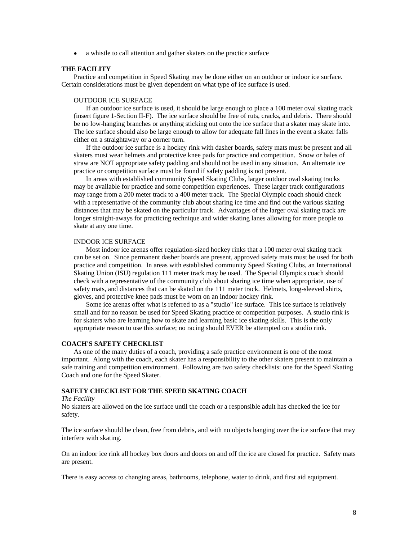a whistle to call attention and gather skaters on the practice surface

#### **THE FACILITY**

Practice and competition in Speed Skating may be done either on an outdoor or indoor ice surface. Certain considerations must be given dependent on what type of ice surface is used.

#### OUTDOOR ICE SURFACE

If an outdoor ice surface is used, it should be large enough to place a 100 meter oval skating track (insert figure 1-Section II-F). The ice surface should be free of ruts, cracks, and debris. There should be no low-hanging branches or anything sticking out onto the ice surface that a skater may skate into. The ice surface should also be large enough to allow for adequate fall lines in the event a skater falls either on a straightaway or a corner turn.

If the outdoor ice surface is a hockey rink with dasher boards, safety mats must be present and all skaters must wear helmets and protective knee pads for practice and competition. Snow or bales of straw are NOT appropriate safety padding and should not be used in any situation. An alternate ice practice or competition surface must be found if safety padding is not present.

In areas with established community Speed Skating Clubs, larger outdoor oval skating tracks may be available for practice and some competition experiences. These larger track configurations may range from a 200 meter track to a 400 meter track. The Special Olympic coach should check with a representative of the community club about sharing ice time and find out the various skating distances that may be skated on the particular track. Advantages of the larger oval skating track are longer straight-aways for practicing technique and wider skating lanes allowing for more people to skate at any one time.

#### INDOOR ICE SURFACE

Most indoor ice arenas offer regulation-sized hockey rinks that a 100 meter oval skating track can be set on. Since permanent dasher boards are present, approved safety mats must be used for both practice and competition. In areas with established community Speed Skating Clubs, an International Skating Union (ISU) regulation 111 meter track may be used. The Special Olympics coach should check with a representative of the community club about sharing ice time when appropriate, use of safety mats, and distances that can be skated on the 111 meter track. Helmets, long-sleeved shirts, gloves, and protective knee pads must be worn on an indoor hockey rink.

Some ice arenas offer what is referred to as a "studio" ice surface. This ice surface is relatively small and for no reason be used for Speed Skating practice or competition purposes. A studio rink is for skaters who are learning how to skate and learning basic ice skating skills. This is the only appropriate reason to use this surface; no racing should EVER be attempted on a studio rink.

#### **COACH'S SAFETY CHECKLIST**

As one of the many duties of a coach, providing a safe practice environment is one of the most important. Along with the coach, each skater has a responsibility to the other skaters present to maintain a safe training and competition environment. Following are two safety checklists: one for the Speed Skating Coach and one for the Speed Skater.

#### **SAFETY CHECKLIST FOR THE SPEED SKATING COACH**

#### *The Facility*

No skaters are allowed on the ice surface until the coach or a responsible adult has checked the ice for safety.

The ice surface should be clean, free from debris, and with no objects hanging over the ice surface that may interfere with skating.

On an indoor ice rink all hockey box doors and doors on and off the ice are closed for practice. Safety mats are present.

There is easy access to changing areas, bathrooms, telephone, water to drink, and first aid equipment.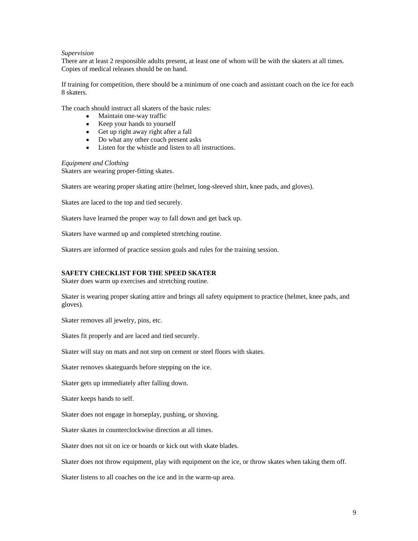### *Supervision*

There are at least 2 responsible adults present, at least one of whom will be with the skaters at all times. Copies of medical releases should be on hand.

If training for competition, there should be a minimum of one coach and assistant coach on the ice for each 8 skaters.

The coach should instruct all skaters of the basic rules:

- Maintain one-way traffic  $\bullet$
- Keep your hands to yourself
- Get up right away right after a fall
- Do what any other coach present asks
- Listen for the whistle and listen to all instructions.

*Equipment and Clothing* Skaters are wearing proper-fitting skates.

Skaters are wearing proper skating attire (helmet, long-sleeved shirt, knee pads, and gloves).

Skates are laced to the top and tied securely.

Skaters have learned the proper way to fall down and get back up.

Skaters have warmed up and completed stretching routine.

Skaters are informed of practice session goals and rules for the training session.

#### **SAFETY CHECKLIST FOR THE SPEED SKATER**

Skater does warm up exercises and stretching routine.

Skater is wearing proper skating attire and brings all safety equipment to practice (helmet, knee pads, and gloves).

Skater removes all jewelry, pins, etc.

Skates fit properly and are laced and tied securely.

Skater will stay on mats and not step on cement or steel floors with skates.

Skater removes skateguards before stepping on the ice.

Skater gets up immediately after falling down.

Skater keeps hands to self.

Skater does not engage in horseplay, pushing, or shoving.

Skater skates in counterclockwise direction at all times.

Skater does not sit on ice or boards or kick out with skate blades.

Skater does not throw equipment, play with equipment on the ice, or throw skates when taking them off.

Skater listens to all coaches on the ice and in the warm-up area.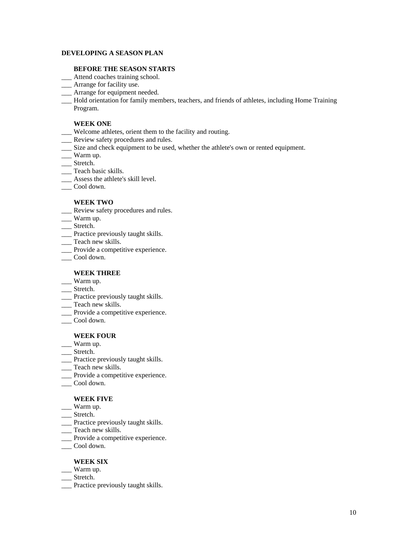### **DEVELOPING A SEASON PLAN**

### **BEFORE THE SEASON STARTS**

- \_\_\_ Attend coaches training school.
- \_\_\_ Arrange for facility use.
- \_\_\_ Arrange for equipment needed.
- \_\_\_ Hold orientation for family members, teachers, and friends of athletes, including Home Training Program.

# **WEEK ONE**

- \_\_\_ Welcome athletes, orient them to the facility and routing.
- \_\_\_ Review safety procedures and rules.
- \_\_\_ Size and check equipment to be used, whether the athlete's own or rented equipment.
- \_\_\_ Warm up.
- \_\_\_ Stretch.
- \_\_\_ Teach basic skills.
- \_\_\_\_ Assess the athlete's skill level.<br>
\_\_\_\_ Cool down.
- \_\_\_ Cool down.

# **WEEK TWO**

- \_\_\_ Review safety procedures and rules.
- \_\_\_ Warm up.
- \_\_\_ Stretch.
- Practice previously taught skills.<br>
Teach new skills.
- \_\_\_ Teach new skills.
- \_\_\_ Provide a competitive experience.<br>
\_\_\_ Cool down.
- \_\_\_ Cool down.

# **WEEK THREE**

- $\Box$  Warm up.
- \_\_\_ Stretch.
- Teach new skills.
- \_\_\_ Teach new skills.
- Provide a competitive experience.<br>Cool down.
- \_\_\_ Cool down.

# **WEEK FOUR**

- $\Box$  Warm up.
- \_\_\_ Stretch.
- \_\_\_ Practice previously taught skills.<br>
\_\_ Teach new skills.
- \_\_\_ Teach new skills.
- \_\_\_ Provide a competitive experience.
- \_\_\_ Cool down.

# **WEEK FIVE**

- $\Box$  Warm up.
- \_\_\_ Stretch.
- Teach new skills.<br>Teach new skills.
- \_\_\_ Teach new skills.
- \_\_\_ Provide a competitive experience.<br>
\_\_ Cool down.
- \_\_\_ Cool down.

# **WEEK SIX**

- \_\_\_ Warm up.
- \_\_\_ Stretch.
- \_\_\_ Practice previously taught skills.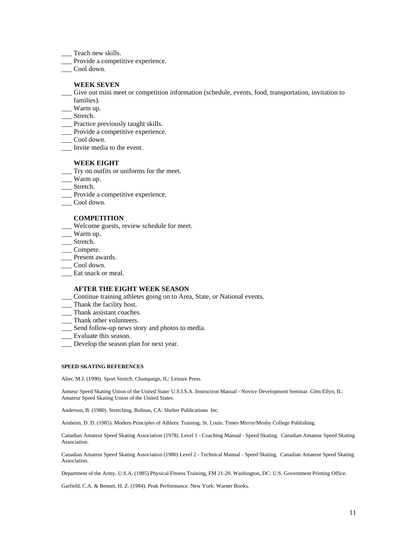- \_\_\_ Teach new skills.
- \_\_\_\_ Provide a competitive experience.<br>
\_\_\_\_ Cool down.
- \_\_\_ Cool down.

#### **WEEK SEVEN**

- \_\_\_ Give out mini meet or competition information (schedule, events, food, transportation, invitation to families).
- \_\_\_ Warm up.
- \_\_\_ Stretch.
- \_\_\_ Practice previously taught skills.
- \_\_\_ Provide a competitive experience.<br>
\_\_ Cool down.
- \_\_\_ Cool down.
- \_\_\_ Invite media to the event.

#### **WEEK EIGHT**

- \_\_\_ Try on outfits or uniforms for the meet.
- \_\_\_ Warm up.
- \_\_\_ Stretch.
- \_\_\_ Provide a competitive experience.<br>
\_\_ Cool down.
- \_\_\_ Cool down.

#### **COMPETITION**

- \_\_\_ Welcome guests, review schedule for meet.
- $\Box$  Warm up.
- \_\_\_ Stretch.
- \_\_\_ Compete.
- \_\_\_ Present awards.
- \_\_\_ Cool down.
- \_\_\_ Eat snack or meal.

#### **AFTER THE EIGHT WEEK SEASON**

- \_\_\_ Continue training athletes going on to Area, State, or National events.
- \_\_\_ Thank the facility host.
- \_\_\_ Thank assistant coaches.<br>Thank other volunteers.
- \_\_\_ Thank other volunteers.
- \_\_\_ Send follow-up news story and photos to media.
- \_\_\_ Evaluate this season.
- \_\_\_ Develop the season plan for next year.

#### **SPEED SKATING REFERENCES**

Alter, M.J. (1990). Sport Stretch. Champaign, IL: Leisure Press.

Amteur Speed Skating Union of the United State/ U.S.I.S.A. Instruction Manual - Novice Development Seminar. Glen Ellyn, IL: Amateur Speed Skating Union of the United States.

Anderson, B. (1980). Stretching. Bolinas, CA: Shelter Publications Inc.

Arnheim, D. D. (1985). Modern Principles of Athletic Training. St. Louis: Times Mirror/Mosby College Publishing.

Canadian Amateur Speed Skating Association (1978). Level 1 - Coaching Manual - Speed Skating. Canadian Amateur Speed Skating Association.

Canadian Amateur Speed Skating Association (1980) Level 2 - Technical Manual - Speed Skating. Canadian Amateur Speed Skating Association.

Department of the Army, U.S.A. (1985) Physical Fitness Training, FM 21-20. Washington, DC: U.S. Government Printing Office.

Garfield, C.A. & Bennet, H. Z. (1984). Peak Performance. New York: Warner Books.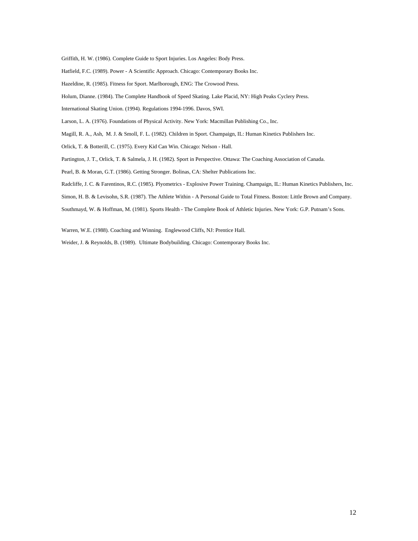Griffith, H. W. (1986). Complete Guide to Sport Injuries. Los Angeles: Body Press.

Hatfield, F.C. (1989). Power - A Scientific Approach. Chicago: Contemporary Books Inc.

Hazeldine, R. (1985). Fitness for Sport. Marlborough, ENG: The Crowood Press.

Holum, Dianne. (1984). The Complete Handbook of Speed Skating. Lake Placid, NY: High Peaks Cyclery Press.

International Skating Union. (1994). Regulations 1994-1996. Davos, SWI.

Larson, L. A. (1976). Foundations of Physical Activity. New York: Macmillan Publishing Co., Inc.

Magill, R. A., Ash, M. J. & Smoll, F. L. (1982). Children in Sport. Champaign, IL: Human Kinetics Publishers Inc.

Orlick, T. & Botterill, C. (1975). Every Kid Can Win. Chicago: Nelson - Hall.

Partington, J. T., Orlick, T. & Salmela, J. H. (1982). Sport in Perspective. Ottawa: The Coaching Association of Canada.

Pearl, B. & Moran, G.T. (1986). Getting Stronger. Bolinas, CA: Shelter Publications Inc.

Radcliffe, J. C. & Farentinos, R.C. (1985). Plyometrics - Explosive Power Training. Champaign, IL: Human Kinetics Publishers, Inc.

Simon, H. B. & Levisohn, S.R. (1987). The Athlete Within - A Personal Guide to Total Fitness. Boston: Little Brown and Company.

Southmayd, W. & Hoffman, M. (1981). Sports Health - The Complete Book of Athletic Injuries. New York: G.P. Putnam's Sons.

Warren, W.E. (1988). Coaching and Winning. Englewood Cliffs, NJ: Prentice Hall.

Weider, J. & Reynolds, B. (1989). Ultimate Bodybuilding. Chicago: Contemporary Books Inc.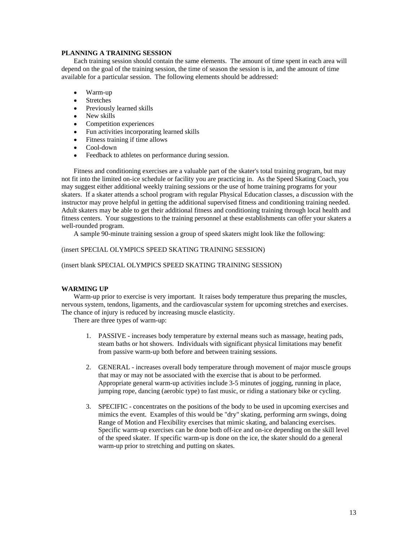### **PLANNING A TRAINING SESSION**

Each training session should contain the same elements. The amount of time spent in each area will depend on the goal of the training session, the time of season the session is in, and the amount of time available for a particular session. The following elements should be addressed:

- $\bullet$ Warm-up
- $\bullet$ Stretches and the state of the state of the state of the state of the state of the state of the state of the state of the state of the state of the state of the state of the state of the state of the state of the state of
- $\bullet$ Previously learned skills
- $\bullet$ New skills
- Competition experiences
- Fun activities incorporating learned skills
- Fitness training if time allows
- $\bullet$ Cool-down
- Feedback to athletes on performance during session.  $\bullet$

Fitness and conditioning exercises are a valuable part of the skater's total training program, but may not fit into the limited on-ice schedule or facility you are practicing in. As the Speed Skating Coach, you may suggest either additional weekly training sessions or the use of home training programs for your skaters. If a skater attends a school program with regular Physical Education classes, a discussion with the instructor may prove helpful in getting the additional supervised fitness and conditioning training needed. Adult skaters may be able to get their additional fitness and conditioning training through local health and fitness centers. Your suggestions to the training personnel at these establishments can offer your skaters a well-rounded program.

A sample 90-minute training session a group of speed skaters might look like the following:

#### (insert SPECIAL OLYMPICS SPEED SKATING TRAINING SESSION)

#### (insert blank SPECIAL OLYMPICS SPEED SKATING TRAINING SESSION)

# **WARMING UP**

Warm-up prior to exercise is very important. It raises body temperature thus preparing the muscles, nervous system, tendons, ligaments, and the cardiovascular system for upcoming stretches and exercises. The chance of injury is reduced by increasing muscle elasticity.

There are three types of warm-up:

- 1. PASSIVE increases body temperature by external means such as massage, heating pads, steam baths or hot showers. Individuals with significant physical limitations may benefit from passive warm-up both before and between training sessions.
- 2. GENERAL increases overall body temperature through movement of major muscle groups that may or may not be associated with the exercise that is about to be performed. Appropriate general warm-up activities include 3-5 minutes of jogging, running in place, jumping rope, dancing (aerobic type) to fast music, or riding a stationary bike or cycling.
- 3. SPECIFIC concentrates on the positions of the body to be used in upcoming exercises and mimics the event. Examples of this would be "dry" skating, performing arm swings, doing Range of Motion and Flexibility exercises that mimic skating, and balancing exercises. Specific warm-up exercises can be done both off-ice and on-ice depending on the skill level of the speed skater. If specific warm-up is done on the ice, the skater should do a general warm-up prior to stretching and putting on skates.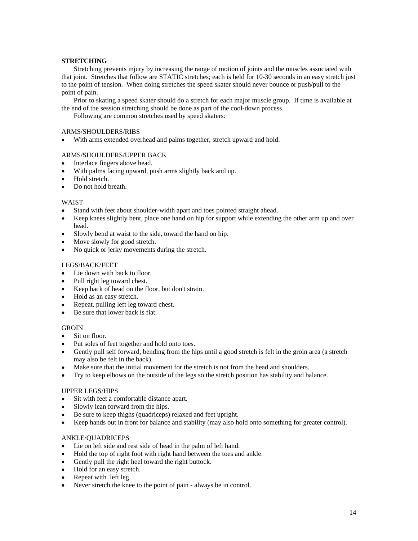### **STRETCHING**

Stretching prevents injury by increasing the range of motion of joints and the muscles associated with that joint. Stretches that follow are STATIC stretches; each is held for 10-30 seconds in an easy stretch just to the point of tension. When doing stretches the speed skater should never bounce or push/pull to the point of pain.

Prior to skating a speed skater should do a stretch for each major muscle group. If time is available at the end of the session stretching should be done as part of the cool-down process.

Following are common stretches used by speed skaters:

### ARMS/SHOULDERS/RIBS

With arms extended overhead and palms together, stretch upward and hold.

# ARMS/SHOULDERS/UPPER BACK

- Interlace fingers above head.
- With palms facing upward, push arms slightly back and up.
- Hold stretch. The stretch state of the stretch stretch stretch.
- Do not hold breath.

# WAIST **Example 2008**

- Stand with feet about shoulder-width apart and toes pointed straight ahead.
- Keep knees slightly bent, place one hand on hip for support while extending the other arm up and over head. **head.** The contract of the contract of the contract of the contract of the contract of the contract of the contract of the contract of the contract of the contract of the contract of the contract of the contract of
- Slowly bend at waist to the side, toward the hand on hip.  $\bullet$
- Move slowly for good stretch.
- No quick or jerky movements during the stretch.

# LEGS/BACK/FEET

- $\bullet$ Lie down with back to floor.
- Pull right leg toward chest.
- $\bullet$ Keep back of head on the floor, but don't strain.
- Hold as an easy stretch.
- Repeat, pulling left leg toward chest.
- Be sure that lower back is flat.

# GROIN **GROUN**

- Sit on floor.  $\bullet$
- Put soles of feet together and hold onto toes.
- Gently pull self forward, bending from the hips until a good stretch is felt in the groin area (a stretch  $\bullet$ may also be felt in the back).
- Make sure that the initial movement for the stretch is not from the head and shoulders.  $\bullet$
- Try to keep elbows on the outside of the legs so the stretch position has stability and balance.

# UPPER LEGS/HIPS

- Sit with feet a comfortable distance apart.
- Slowly lean forward from the hips.  $\bullet$
- Be sure to keep thighs (quadriceps) relaxed and feet upright.
- Keep hands out in front for balance and stability (may also hold onto something for greater control).  $\bullet$

# ANKLE/QUADRICEPS

- Lie on left side and rest side of head in the palm of left hand.
- Hold the top of right foot with right hand between the toes and ankle.  $\bullet$
- Gently pull the right heel toward the right buttock.
- Hold for an easy stretch.
- Repeat with left leg.
- Never stretch the knee to the point of pain always be in control.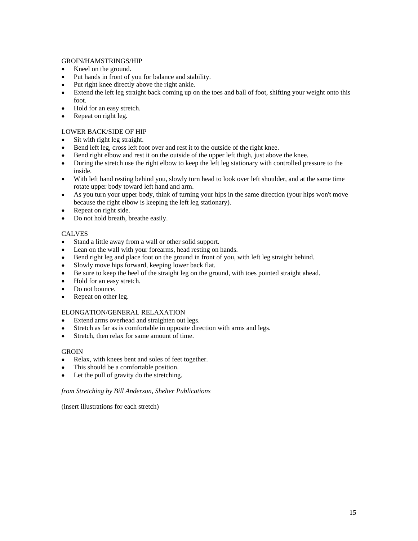### GROIN/HAMSTRINGS/HIP

- Kneel on the ground.
- Put hands in front of you for balance and stability.  $\bullet$
- Put right knee directly above the right ankle.  $\bullet$
- Extend the left leg straight back coming up on the toes and ball of foot, shifting your weight onto this  $\bullet$ foot.
- Hold for an easy stretch.  $\bullet$
- Repeat on right leg.  $\bullet$

# LOWER BACK/SIDE OF HIP

- Sit with right leg straight.
- Bend left leg, cross left foot over and rest it to the outside of the right knee.
- $\bullet$ Bend right elbow and rest it on the outside of the upper left thigh, just above the knee.
- $\bullet$ During the stretch use the right elbow to keep the left leg stationary with controlled pressure to the inside.
- With left hand resting behind you, slowly turn head to look over left shoulder, and at the same time  $\bullet$ rotate upper body toward left hand and arm.
- As you turn your upper body, think of turning your hips in the same direction (your hips won't move  $\bullet$ because the right elbow is keeping the left leg stationary).
- Repeat on right side.  $\bullet$
- Do not hold breath, breathe easily.  $\bullet$

# CALVES

- Stand a little away from a wall or other solid support.  $\bullet$
- Lean on the wall with your forearms, head resting on hands.
- Bend right leg and place foot on the ground in front of you, with left leg straight behind.  $\bullet$
- $\bullet$ Slowly move hips forward, keeping lower back flat.
- Be sure to keep the heel of the straight leg on the ground, with toes pointed straight ahead.  $\bullet$
- $\bullet$ Hold for an easy stretch.
- $\bullet$ Do not bounce.
- $\bullet$ Repeat on other leg.

# ELONGATION/GENERAL RELAXATION

- Extend arms overhead and straighten out legs.  $\bullet$
- Stretch as far as is comfortable in opposite direction with arms and legs.
- Stretch, then relax for same amount of time.  $\bullet$

# GROIN **GROUN**

- Relax, with knees bent and soles of feet together.
- This should be a comfortable position.
- Let the pull of gravity do the stretching.  $\bullet$

# *from Stretching by Bill Anderson, Shelter Publications*

(insert illustrations for each stretch)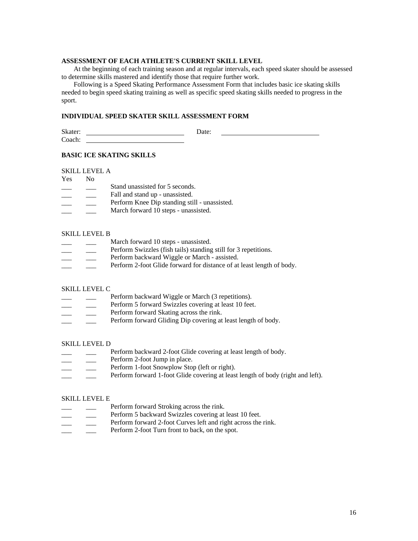### **ASSESSMENT OF EACH ATHLETE'S CURRENT SKILL LEVEL**

At the beginning of each training season and at regular intervals, each speed skater should be assessed to determine skills mastered and identify those that require further work.

Following is a Speed Skating Performance Assessment Form that includes basic ice skating skills needed to begin speed skating training as well as specific speed skating skills needed to progress in the sport.

#### **INDIVIDUAL SPEED SKATER SKILL ASSESSMENT FORM**

Skater: <u>Date:</u> Date: Coach:

#### **BASIC ICE SKATING SKILLS**

SKILL LEVEL A

- Stand unassisted for 5 seconds.
- equal than  $\Box$  Fall and stand up unassisted.
- Perform Knee Dip standing still unassisted.
- March forward 10 steps unassisted.

#### SKILL LEVEL B

- March forward 10 steps unassisted.
- Perform Swizzles (fish tails) standing still for 3 repetitions.
- Perform backward Wiggle or March assisted.
- Perform 2-foot Glide forward for distance of at least length of body.

### SKILL LEVEL C

- Perform backward Wiggle or March (3 repetitions).
- Perform 5 forward Swizzles covering at least 10 feet.
- Perform forward Skating across the rink.
- Perform forward Gliding Dip covering at least length of body.

### SKILL LEVEL D

- Perform backward 2-foot Glide covering at least length of body.
- Perform 2-foot Jump in place.
- Perform 1-foot Snowplow Stop (left or right).
- Perform forward 1-foot Glide covering at least length of body (right and left).

#### SKILL LEVEL E

- Perform forward Stroking across the rink.
	- Perform 5 backward Swizzles covering at least 10 feet.
- Perform forward 2-foot Curves left and right across the rink.
- Perform 2-foot Turn front to back, on the spot.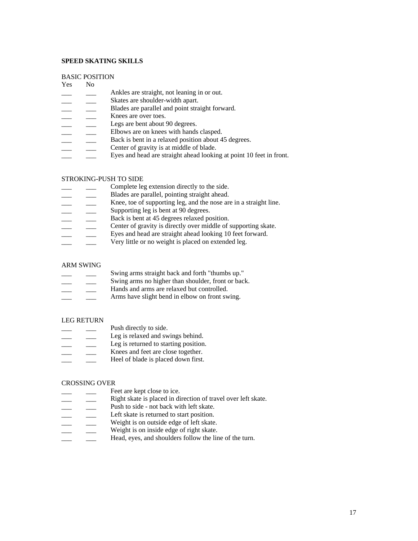#### **SPEED SKATING SKILLS**

#### BASIC POSITION

# Yes No

- Ankles are straight, not leaning in or out.
- Skates are shoulder-width apart.
- Blades are parallel and point straight forward.
- **EXECUTE:** Knees are over toes.
- Legs are bent about 90 degrees.
- Elbows are on knees with hands clasped.
- Back is bent in a relaxed position about 45 degrees.
- Center of gravity is at middle of blade.
- Eyes and head are straight ahead looking at point 10 feet in front.

### STROKING-PUSH TO SIDE

- Complete leg extension directly to the side.
- Blades are parallel, pointing straight ahead.
- Knee, toe of supporting leg, and the nose are in a straight line.
- Supporting leg is bent at 90 degrees.
- Back is bent at 45 degrees relaxed position.
- Center of gravity is directly over middle of supporting skate.
- Eyes and head are straight ahead looking 10 feet forward.
- Very little or no weight is placed on extended leg.

#### ARM SWING

- Swing arms straight back and forth "thumbs up." Swing arms no higher than shoulder, front or back. Hands and arms are relaxed but controlled.
- Arms have slight bend in elbow on front swing.

### LEG RETURN

- **Example 3** Push directly to side.
- Leg is relaxed and swings behind.
- Leg is returned to starting position.
- Knees and feet are close together.
- Heel of blade is placed down first.

### CROSSING OVER

- example of Feet are kept close to ice.
- Right skate is placed in direction of travel over left skate.
- Push to side not back with left skate.
- Left skate is returned to start position.
- Weight is on outside edge of left skate.
- Weight is on inside edge of right skate.
- Head, eyes, and shoulders follow the line of the turn.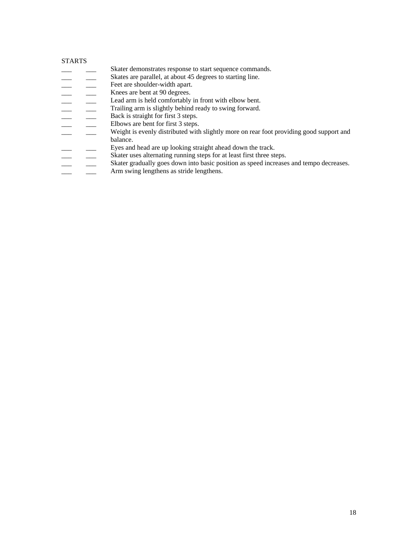#### STARTS **STARTS**

- Skater demonstrates response to start sequence commands.
- Skates are parallel, at about 45 degrees to starting line.
- 
- Knees are bent at 90 degrees.
	- Lead arm is held comfortably in front with elbow bent.
		- Trailing arm is slightly behind ready to swing forward.
- Back is straight for first 3 steps.
- Elbows are bent for first 3 steps.
- Feet are shoulder-width apart.<br>
 Channel Experience and 40 degrees.<br>
 Lead arm is held comfortably increase.<br>
 Trailing arm is slightly behind<br>
Back is straight for first 3 step.<br>
 Ebows are bent for first 3 step.<br>
 W Weight is evenly distributed with slightly more on rear foot providing good support and balance. The contract of the contract of the contract of the contract of the contract of the contract of the contract of the contract of the contract of the contract of the contract of the contract of the contract of the c
	-
- Eyes and head are up looking straight ahead down the track.<br>
Skater uses alternating running steps for at least first three states of the skater gradually goes down into basic position as speed increase the state langthers Skater uses alternating running steps for at least first three steps.
	- Skater gradually goes down into basic position as speed increases and tempo decreases.
	- Arm swing lengthens as stride lengthens.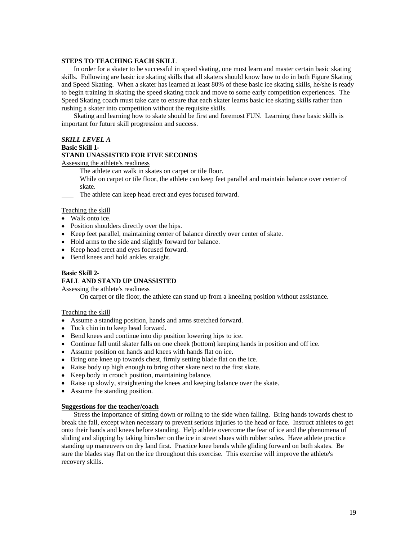#### **STEPS TO TEACHING EACH SKILL**

In order for a skater to be successful in speed skating, one must learn and master certain basic skating skills. Following are basic ice skating skills that all skaters should know how to do in both Figure Skating and Speed Skating. When a skater has learned at least 80% of these basic ice skating skills, he/she is ready to begin training in skating the speed skating track and move to some early competition experiences. The Speed Skating coach must take care to ensure that each skater learns basic ice skating skills rather than rushing a skater into competition without the requisite skills.

Skating and learning how to skate should be first and foremost FUN. Learning these basic skills is important for future skill progression and success.

# *SKILL LEVEL A*

#### **Basic Skill 1-**

#### **STAND UNASSISTED FOR FIVE SECONDS**

Assessing the athlete's readiness

- The athlete can walk in skates on carpet or tile floor.
- While on carpet or tile floor, the athlete can keep feet parallel and maintain balance over center of skate.
- The athlete can keep head erect and eyes focused forward.

#### Teaching the skill

- Walk onto ice.
- Position shoulders directly over the hips.
- Keep feet parallel, maintaining center of balance directly over center of skate.
- Hold arms to the side and slightly forward for balance.
- Keep head erect and eyes focused forward.
- Bend knees and hold ankles straight.

#### **Basic Skill 2-**

#### **FALL AND STAND UP UNASSISTED**

# Assessing the athlete's readiness

On carpet or tile floor, the athlete can stand up from a kneeling position without assistance.

#### Teaching the skill state of the state of the state of the state of the state of the state of the state of the state of the state of the state of the state of the state of the state of the state of the state of the state of

- Assume a standing position, hands and arms stretched forward.
- Tuck chin in to keep head forward.
- Bend knees and continue into dip position lowering hips to ice.
- Continue fall until skater falls on one cheek (bottom) keeping hands in position and off ice.
- Assume position on hands and knees with hands flat on ice.
- Bring one knee up towards chest, firmly setting blade flat on the ice.
- Raise body up high enough to bring other skate next to the first skate.
- Keep body in crouch position, maintaining balance.
- Raise up slowly, straightening the knees and keeping balance over the skate.
- Assume the standing position.

#### **Suggestions for the teacher/coach**

Stress the importance of sitting down or rolling to the side when falling. Bring hands towards chest to break the fall, except when necessary to prevent serious injuries to the head or face. Instruct athletes to get onto their hands and knees before standing. Help athlete overcome the fear of ice and the phenomena of sliding and slipping by taking him/her on the ice in street shoes with rubber soles. Have athlete practice standing up maneuvers on dry land first. Practice knee bends while gliding forward on both skates. Be sure the blades stay flat on the ice throughout this exercise. This exercise will improve the athlete's recovery skills.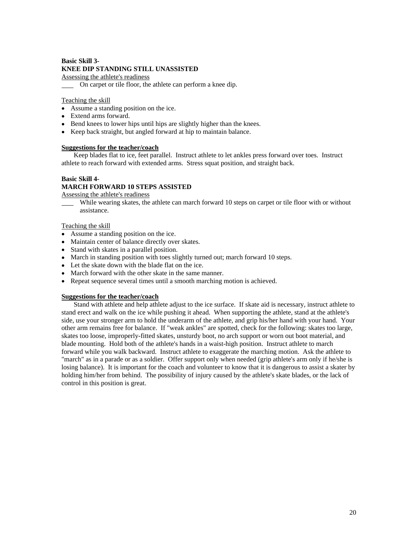# **Basic Skill 3- KNEE DIP STANDING STILL UNASSISTED**

Assessing the athlete's readiness

On carpet or tile floor, the athlete can perform a knee dip.

### Teaching the skill state of the state of the state of the state of the state of the state of the state of the state of the state of the state of the state of the state of the state of the state of the state of the state of

- Assume a standing position on the ice.
- Extend arms forward.
- Bend knees to lower hips until hips are slightly higher than the knees.
- Keep back straight, but angled forward at hip to maintain balance.

### **Suggestions for the teacher/coach**

Keep blades flat to ice, feet parallel. Instruct athlete to let ankles press forward over toes. Instruct athlete to reach forward with extended arms. Stress squat position, and straight back.

# **Basic Skill 4-**

# **MARCH FORWARD 10 STEPS ASSISTED**

Assessing the athlete's readiness

While wearing skates, the athlete can march forward 10 steps on carpet or tile floor with or without assistance.

### Teaching the skill state of the state of the state of the state of the state of the state of the state of the state of the state of the state of the state of the state of the state of the state of the state of the state of

- Assume a standing position on the ice.
- Maintain center of balance directly over skates.
- Stand with skates in a parallel position.
- March in standing position with toes slightly turned out; march forward 10 steps.
- Let the skate down with the blade flat on the ice.
- March forward with the other skate in the same manner.
- Repeat sequence several times until a smooth marching motion is achieved.

### **Suggestions for the teacher/coach**

Stand with athlete and help athlete adjust to the ice surface. If skate aid is necessary, instruct athlete to stand erect and walk on the ice while pushing it ahead. When supporting the athlete, stand at the athlete's side, use your stronger arm to hold the underarm of the athlete, and grip his/her hand with your hand. Your other arm remains free for balance. If "weak ankles" are spotted, check for the following: skates too large, skates too loose, improperly-fitted skates, unsturdy boot, no arch support or worn out boot material, and blade mounting. Hold both of the athlete's hands in a waist-high position. Instruct athlete to march forward while you walk backward. Instruct athlete to exaggerate the marching motion. Ask the athlete to "march" as in a parade or as a soldier. Offer support only when needed (grip athlete's arm only if he/she is losing balance). It is important for the coach and volunteer to know that it is dangerous to assist a skater by holding him/her from behind. The possibility of injury caused by the athlete's skate blades, or the lack of control in this position is great.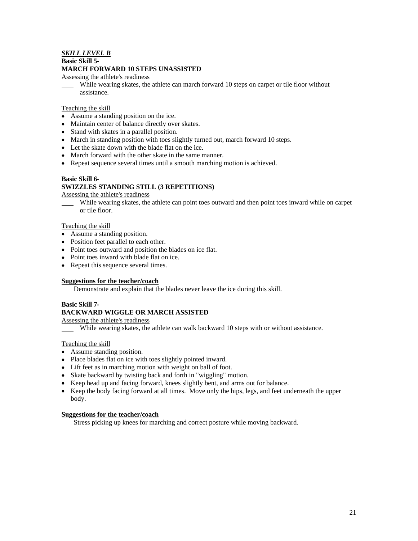# *SKILL LEVEL B*

#### **Basic Skill 5-**

#### **MARCH FORWARD 10 STEPS UNASSISTED**

### Assessing the athlete's readiness

While wearing skates, the athlete can march forward 10 steps on carpet or tile floor without assistance.

### Teaching the skill state of the state of the state of the state of the state of the state of the state of the state of the state of the state of the state of the state of the state of the state of the state of the state of

- Assume a standing position on the ice.
- Maintain center of balance directly over skates.
- Stand with skates in a parallel position.
- March in standing position with toes slightly turned out, march forward 10 steps.
- Let the skate down with the blade flat on the ice.
- March forward with the other skate in the same manner.
- Repeat sequence several times until a smooth marching motion is achieved.

### **Basic Skill 6-**

# **SWIZZLES STANDING STILL (3 REPETITIONS)**

#### Assessing the athlete's readiness

While wearing skates, the athlete can point toes outward and then point toes inward while on carpet or tile floor. or tile floor.

### Teaching the skill state of the state of the state of the state of the state of the state of the state of the state of the state of the state of the state of the state of the state of the state of the state of the state of

- Assume a standing position.
- Position feet parallel to each other.
- Point toes outward and position the blades on ice flat.
- Point toes inward with blade flat on ice.
- Repeat this sequence several times.

#### **Suggestions for the teacher/coach**

Demonstrate and explain that the blades never leave the ice during this skill.

# **Basic Skill 7-**

# **BACKWARD WIGGLE OR MARCH ASSISTED**

Assessing the athlete's readiness

While wearing skates, the athlete can walk backward 10 steps with or without assistance.

#### Teaching the skill

- Assume standing position.
- Place blades flat on ice with toes slightly pointed inward.
- Lift feet as in marching motion with weight on ball of foot.
- Skate backward by twisting back and forth in "wiggling" motion.
- Keep head up and facing forward, knees slightly bent, and arms out for balance.
- Keep the body facing forward at all times. Move only the hips, legs, and feet underneath the upper body. The contract of the contract of the contract of the contract of the contract of the contract of the contract of the contract of the contract of the contract of the contract of the contract of the contract of the cont

# **Suggestions for the teacher/coach**

Stress picking up knees for marching and correct posture while moving backward.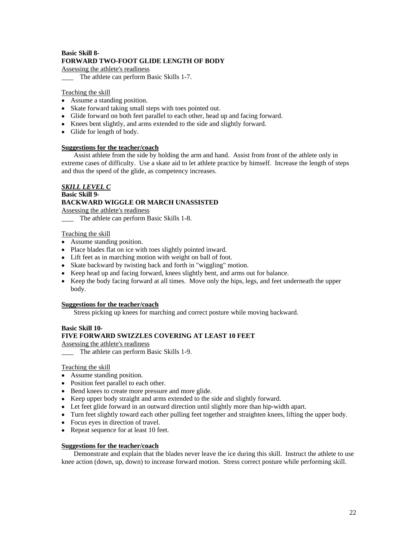# **Basic Skill 8- FORWARD TWO-FOOT GLIDE LENGTH OF BODY**

Assessing the athlete's readiness

The athlete can perform Basic Skills 1-7.

### Teaching the skill state of the state of the state of the state of the state of the state of the state of the state of the state of the state of the state of the state of the state of the state of the state of the state of

- Assume a standing position.
- Skate forward taking small steps with toes pointed out.
- Glide forward on both feet parallel to each other, head up and facing forward.
- Knees bent slightly, and arms extended to the side and slightly forward.
- Glide for length of body.

### **Suggestions for the teacher/coach**

Assist athlete from the side by holding the arm and hand. Assist from front of the athlete only in extreme cases of difficulty. Use a skate aid to let athlete practice by himself. Increase the length of steps and thus the speed of the glide, as competency increases.

# *SKILL LEVEL C* **Basic Skill 9- BACKWARD WIGGLE OR MARCH UNASSISTED**

Assessing the athlete's readiness

The athlete can perform Basic Skills 1-8.

#### Teaching the skill

- Assume standing position.
- Place blades flat on ice with toes slightly pointed inward.
- Lift feet as in marching motion with weight on ball of foot.
- Skate backward by twisting back and forth in "wiggling" motion.
- Keep head up and facing forward, knees slightly bent, and arms out for balance.
- Keep the body facing forward at all times. Move only the hips, legs, and feet underneath the upper body. The contract of the contract of the contract of the contract of the contract of the contract of the contract of the contract of the contract of the contract of the contract of the contract of the contract of the cont

#### **Suggestions for the teacher/coach**

Stress picking up knees for marching and correct posture while moving backward.

# **Basic Skill 10-**

# **FIVE FORWARD SWIZZLES COVERING AT LEAST 10 FEET**

Assessing the athlete's readiness

The athlete can perform Basic Skills 1-9.

#### Teaching the skill

- Assume standing position.
- Position feet parallel to each other.
- Bend knees to create more pressure and more glide.
- Keep upper body straight and arms extended to the side and slightly forward.
- Let feet glide forward in an outward direction until slightly more than hip-width apart.
- Turn feet slightly toward each other pulling feet together and straighten knees, lifting the upper body.
- Focus eyes in direction of travel.
- Repeat sequence for at least 10 feet.

### **Suggestions for the teacher/coach**

Demonstrate and explain that the blades never leave the ice during this skill. Instruct the athlete to use knee action (down, up, down) to increase forward motion. Stress correct posture while performing skill.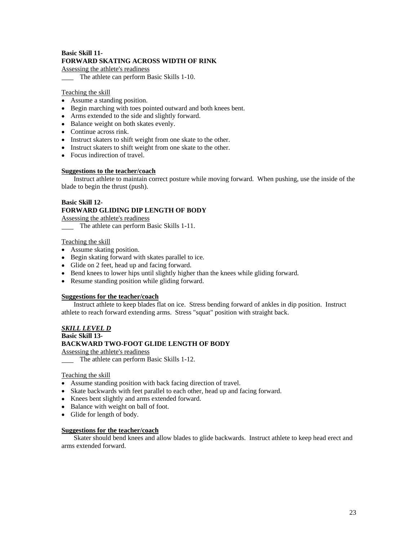# **Basic Skill 11- FORWARD SKATING ACROSS WIDTH OF RINK**

Assessing the athlete's readiness

The athlete can perform Basic Skills 1-10.

# Teaching the skill

- Assume a standing position.
- Begin marching with toes pointed outward and both knees bent.
- Arms extended to the side and slightly forward.
- Balance weight on both skates evenly.
- Continue across rink.
- Instruct skaters to shift weight from one skate to the other.
- Instruct skaters to shift weight from one skate to the other.
- Focus indirection of travel.

# **Suggestions to the teacher/coach**

Instruct athlete to maintain correct posture while moving forward. When pushing, use the inside of the blade to begin the thrust (push).

# **Basic Skill 12- FORWARD GLIDING DIP LENGTH OF BODY**

Assessing the athlete's readiness

The athlete can perform Basic Skills 1-11.

### Teaching the skill state of the state of the state of the state of the state of the state of the state of the state of the state of the state of the state of the state of the state of the state of the state of the state of

- Assume skating position.
- Begin skating forward with skates parallel to ice.
- Glide on 2 feet, head up and facing forward.
- Bend knees to lower hips until slightly higher than the knees while gliding forward.
- Resume standing position while gliding forward.

# **Suggestions for the teacher/coach**

Instruct athlete to keep blades flat on ice. Stress bending forward of ankles in dip position. Instruct athlete to reach forward extending arms. Stress "squat" position with straight back.

# *SKILL LEVEL D*

#### **Basic Skill 13-**

# **BACKWARD TWO-FOOT GLIDE LENGTH OF BODY**

Assessing the athlete's readiness

The athlete can perform Basic Skills 1-12.

### Teaching the skill

- Assume standing position with back facing direction of travel.
- Skate backwards with feet parallel to each other, head up and facing forward.
- Knees bent slightly and arms extended forward.
- Balance with weight on ball of foot.
- Glide for length of body.

#### **Suggestions for the teacher/coach**

Skater should bend knees and allow blades to glide backwards. Instruct athlete to keep head erect and arms extended forward.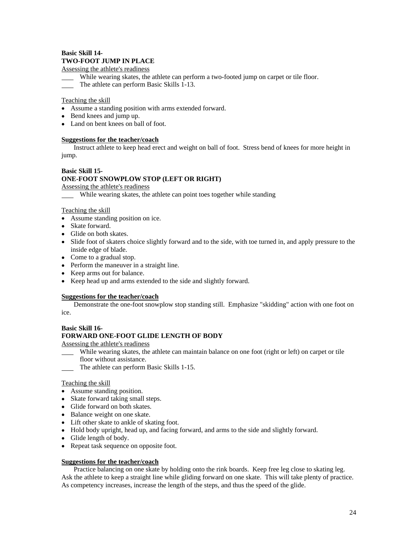# **Basic Skill 14- TWO-FOOT JUMP IN PLACE**

Assessing the athlete's readiness

- While wearing skates, the athlete can perform a two-footed jump on carpet or tile floor.
- The athlete can perform Basic Skills 1-13.

### Teaching the skill state of the state of the state of the state of the state of the state of the state of the state of the state of the state of the state of the state of the state of the state of the state of the state of

- Assume a standing position with arms extended forward.
- Bend knees and jump up.
- Land on bent knees on ball of foot.

### **Suggestions for the teacher/coach**

Instruct athlete to keep head erect and weight on ball of foot. Stress bend of knees for more height in jump.

#### **Basic Skill 15-**

# **ONE-FOOT SNOWPLOW STOP (LEFT OR RIGHT)**

Assessing the athlete's readiness

While wearing skates, the athlete can point toes together while standing

### Teaching the skill

- Assume standing position on ice.<br>• Skate forward.
- Skate forward.
- Glide on both skates.
- Slide foot of skaters choice slightly forward and to the side, with toe turned in, and apply pressure to the inside edge of blade.
- Come to a gradual stop.
- Perform the maneuver in a straight line.
- Keep arms out for balance.
- Keep head up and arms extended to the side and slightly forward.

#### **Suggestions for the teacher/coach**

Demonstrate the one-foot snowplow stop standing still. Emphasize "skidding" action with one foot on ice.

### **Basic Skill 16-**

# **FORWARD ONE-FOOT GLIDE LENGTH OF BODY**

Assessing the athlete's readiness

- While wearing skates, the athlete can maintain balance on one foot (right or left) on carpet or tile floor without assistance.
- The athlete can perform Basic Skills 1-15.

## Teaching the skill

- Assume standing position.
- Skate forward taking small steps.
- Glide forward on both skates.
- Balance weight on one skate.
- Lift other skate to ankle of skating foot.
- Hold body upright, head up, and facing forward, and arms to the side and slightly forward.
- Glide length of body.
- Repeat task sequence on opposite foot.

# **Suggestions for the teacher/coach**

Practice balancing on one skate by holding onto the rink boards. Keep free leg close to skating leg. Ask the athlete to keep a straight line while gliding forward on one skate. This will take plenty of practice. As competency increases, increase the length of the steps, and thus the speed of the glide.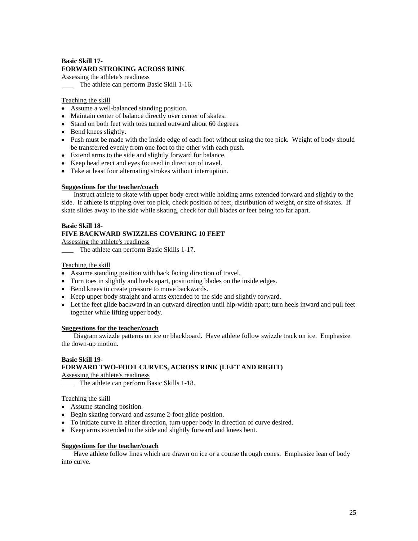# **Basic Skill 17- FORWARD STROKING ACROSS RINK**

Assessing the athlete's readiness

The athlete can perform Basic Skill 1-16.

### Teaching the skill state of the state of the state of the state of the state of the state of the state of the state of the state of the state of the state of the state of the state of the state of the state of the state of

- Assume a well-balanced standing position.
- Maintain center of balance directly over center of skates.
- Stand on both feet with toes turned outward about 60 degrees.
- Bend knees slightly.
- Push must be made with the inside edge of each foot without using the toe pick. Weight of body should be transferred evenly from one foot to the other with each push.
- Extend arms to the side and slightly forward for balance.
- Keep head erect and eyes focused in direction of travel.
- Take at least four alternating strokes without interruption.

### **Suggestions for the teacher/coach**

Instruct athlete to skate with upper body erect while holding arms extended forward and slightly to the side. If athlete is tripping over toe pick, check position of feet, distribution of weight, or size of skates. If skate slides away to the side while skating, check for dull blades or feet being too far apart.

#### **Basic Skill 18-**

# **FIVE BACKWARD SWIZZLES COVERING 10 FEET**

Assessing the athlete's readiness

The athlete can perform Basic Skills 1-17.

### Teaching the skill state of the state of the state of the state of the state of the state of the state of the state of the state of the state of the state of the state of the state of the state of the state of the state of

- Assume standing position with back facing direction of travel.
- Turn toes in slightly and heels apart, positioning blades on the inside edges.
- Bend knees to create pressure to move backwards.
- Keep upper body straight and arms extended to the side and slightly forward.
- Let the feet glide backward in an outward direction until hip-width apart; turn heels inward and pull feet together while lifting upper body.

### **Suggestions for the teacher/coach**

Diagram swizzle patterns on ice or blackboard. Have athlete follow swizzle track on ice. Emphasize the down-up motion.

#### **Basic Skill 19- FORWARD TWO-FOOT CURVES, ACROSS RINK (LEFT AND RIGHT)**

Assessing the athlete's readiness

The athlete can perform Basic Skills 1-18.

#### Teaching the skill state of the state of the state of the state of the state of the state of the state of the state of the state of the state of the state of the state of the state of the state of the state of the state of

- Assume standing position.
- Begin skating forward and assume 2-foot glide position.
- To initiate curve in either direction, turn upper body in direction of curve desired.
- Keep arms extended to the side and slightly forward and knees bent.

### **Suggestions for the teacher/coach**

Have athlete follow lines which are drawn on ice or a course through cones. Emphasize lean of body into curve.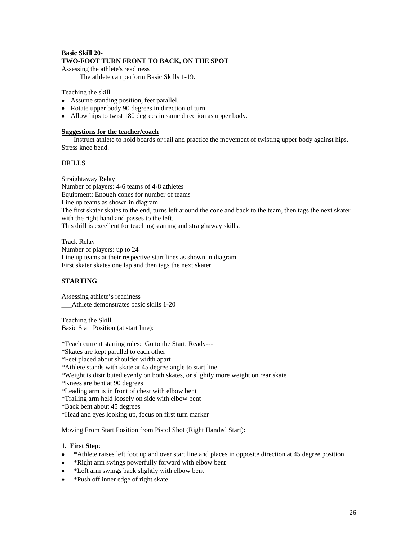# **Basic Skill 20- TWO-FOOT TURN FRONT TO BACK, ON THE SPOT**

Assessing the athlete's readiness

The athlete can perform Basic Skills 1-19.

# Teaching the skill

- Assume standing position, feet parallel.
- Rotate upper body 90 degrees in direction of turn.
- Allow hips to twist 180 degrees in same direction as upper body.

### **Suggestions for the teacher/coach**

Instruct athlete to hold boards or rail and practice the movement of twisting upper body against hips. Stress knee bend.

# DRILLS

### Straightaway Relay and the straight of the straight of the straight and the straight of the straight of the straight of the straight of the straight of the straight of the straight of the straight of the straight of the st

Number of players: 4-6 teams of 4-8 athletes Equipment: Enough cones for number of teams Line up teams as shown in diagram. The first skater skates to the end, turns left around the cone and back to the team, then tags the next skater with the right hand and passes to the left. This drill is excellent for teaching starting and straighaway skills.

Track Relay

Number of players: up to 24 Line up teams at their respective start lines as shown in diagram. First skater skates one lap and then tags the next skater.

# **STARTING**

Assessing athlete's readiness \_\_\_Athlete demonstrates basic skills 1-20

Teaching the Skill Basic Start Position (at start line):

\*Teach current starting rules: Go to the Start; Ready---

\*Skates are kept parallel to each other

\*Feet placed about shoulder width apart

\*Athlete stands with skate at 45 degree angle to start line

- \*Weight is distributed evenly on both skates, or slightly more weight on rear skate
- \*Knees are bent at 90 degrees

\*Leading arm is in front of chest with elbow bent

\*Trailing arm held loosely on side with elbow bent

\*Back bent about 45 degrees

\*Head and eyes looking up, focus on first turn marker

Moving From Start Position from Pistol Shot (Right Handed Start):

# **1. First Step**:

- \*Athlete raises left foot up and over start line and places in opposite direction at 45 degree position
- \*Right arm swings powerfully forward with elbow bent  $\bullet$
- \*Left arm swings back slightly with elbow bent
- \*Push off inner edge of right skate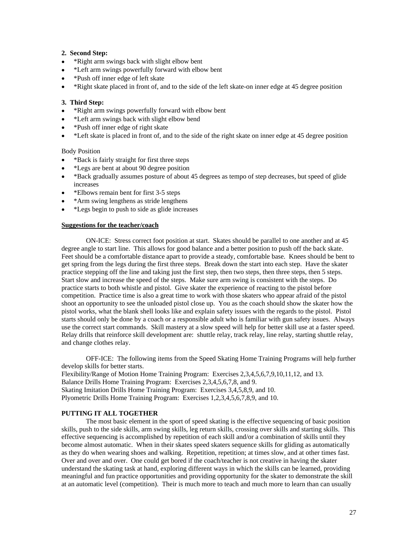### **2. Second Step:**

- \*Right arm swings back with slight elbow bent
- \*Left arm swings powerfully forward with elbow bent
- \*Push off inner edge of left skate  $\bullet$
- \*Right skate placed in front of, and to the side of the left skate-on inner edge at 45 degree position

### **3. Third Step:**

- \*Right arm swings powerfully forward with elbow bent
- $\bullet$ \*Left arm swings back with slight elbow bend
- $\bullet$ \*Push off inner edge of right skate
- \*Left skate is placed in front of, and to the side of the right skate on inner edge at 45 degree position

Body Position

- \*Back is fairly straight for first three steps
- \*Legs are bent at about 90 degree position
- \*Back gradually assumes posture of about 45 degrees as tempo of step decreases, but speed of glide increases
- \*Elbows remain bent for first 3-5 steps
- \*Arm swing lengthens as stride lengthens
- \*Legs begin to push to side as glide increases

#### **Suggestions for the teacher/coach**

ON-ICE: Stress correct foot position at start. Skates should be parallel to one another and at 45 degree angle to start line. This allows for good balance and a better position to push off the back skate. Feet should be a comfortable distance apart to provide a steady, comfortable base. Knees should be bent to get spring from the legs during the first three steps. Break down the start into each step. Have the skater practice stepping off the line and taking just the first step, then two steps, then three steps, then 5 steps. Start slow and increase the speed of the steps. Make sure arm swing is consistent with the steps. Do practice starts to both whistle and pistol. Give skater the experience of reacting to the pistol before competition. Practice time is also a great time to work with those skaters who appear afraid of the pistol shoot an opportunity to see the unloaded pistol close up. You as the coach should show the skater how the pistol works, what the blank shell looks like and explain safety issues with the regards to the pistol. Pistol starts should only be done by a coach or a responsible adult who is familiar with gun safety issues. Always use the correct start commands. Skill mastery at a slow speed will help for better skill use at a faster speed. Relay drills that reinforce skill development are: shuttle relay, track relay, line relay, starting shuttle relay, and change clothes relay.

OFF-ICE: The following items from the Speed Skating Home Training Programs will help further develop skills for better starts. Flexibility/Range of Motion Home Training Program: Exercises 2,3,4,5,6,7,9,10,11,12, and 13. Balance Drills Home Training Program: Exercises 2,3,4,5,6,7,8, and 9. Skating Imitation Drills Home Training Program: Exercises 3,4,5,8,9, and 10. Plyometric Drills Home Training Program: Exercises 1,2,3,4,5,6,7,8,9, and 10.

### **PUTTING IT ALL TOGETHER**

The most basic element in the sport of speed skating is the effective sequencing of basic position skills, push to the side skills, arm swing skills, leg return skills, crossing over skills and starting skills. This effective sequencing is accomplished by repetition of each skill and/or a combination of skills until they become almost automatic. When in their skates speed skaters sequence skills for gliding as automatically as they do when wearing shoes and walking. Repetition, repetition; at times slow, and at other times fast. Over and over and over. One could get bored if the coach/teacher is not creative in having the skater understand the skating task at hand, exploring different ways in which the skills can be learned, providing meaningful and fun practice opportunities and providing opportunity for the skater to demonstrate the skill at an automatic level (competition). Their is much more to teach and much more to learn than can usually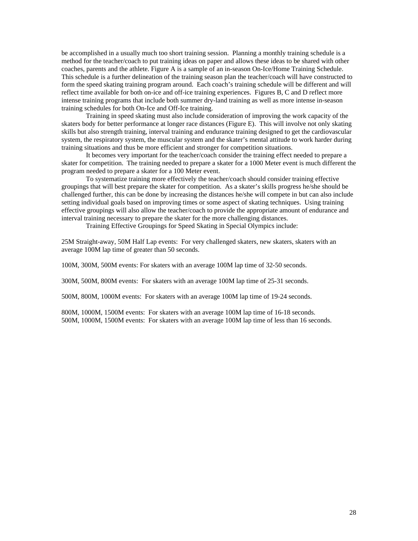be accomplished in a usually much too short training session. Planning a monthly training schedule is a method for the teacher/coach to put training ideas on paper and allows these ideas to be shared with other coaches, parents and the athlete. Figure A is a sample of an in-season On-Ice/Home Training Schedule. This schedule is a further delineation of the training season plan the teacher/coach will have constructed to form the speed skating training program around. Each coach's training schedule will be different and will reflect time available for both on-ice and off-ice training experiences. Figures B, C and D reflect more intense training programs that include both summer dry-land training as well as more intense in-season training schedules for both On-Ice and Off-Ice training.

Training in speed skating must also include consideration of improving the work capacity of the skaters body for better performance at longer race distances (Figure E). This will involve not only skating skills but also strength training, interval training and endurance training designed to get the cardiovascular system, the respiratory system, the muscular system and the skater's mental attitude to work harder during training situations and thus be more efficient and stronger for competition situations.

It becomes very important for the teacher/coach consider the training effect needed to prepare a skater for competition. The training needed to prepare a skater for a 1000 Meter event is much different the program needed to prepare a skater for a 100 Meter event.

To systematize training more effectively the teacher/coach should consider training effective groupings that will best prepare the skater for competition. As a skater's skills progress he/she should be challenged further, this can be done by increasing the distances he/she will compete in but can also include setting individual goals based on improving times or some aspect of skating techniques. Using training effective groupings will also allow the teacher/coach to provide the appropriate amount of endurance and interval training necessary to prepare the skater for the more challenging distances.

Training Effective Groupings for Speed Skating in Special Olympics include:

25M Straight-away, 50M Half Lap events: For very challenged skaters, new skaters, skaters with an average 100M lap time of greater than 50 seconds.

100M, 300M, 500M events: For skaters with an average 100M lap time of 32-50 seconds.

300M, 500M, 800M events: For skaters with an average 100M lap time of 25-31 seconds.

500M, 800M, 1000M events: For skaters with an average 100M lap time of 19-24 seconds.

800M, 1000M, 1500M events: For skaters with an average 100M lap time of 16-18 seconds. 500M, 1000M, 1500M events: For skaters with an average 100M lap time of less than 16 seconds.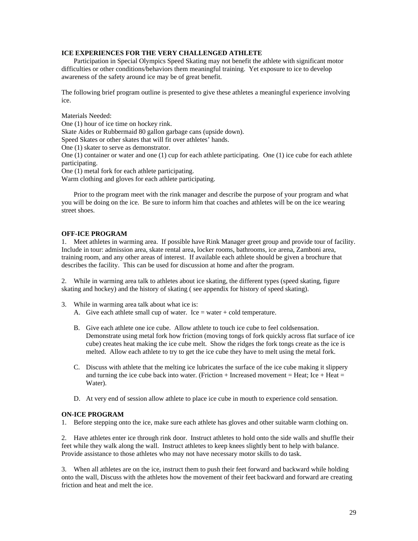### **ICE EXPERIENCES FOR THE VERY CHALLENGED ATHLETE**

Participation in Special Olympics Speed Skating may not benefit the athlete with significant motor difficulties or other conditions/behaviors them meaningful training. Yet exposure to ice to develop awareness of the safety around ice may be of great benefit.

The following brief program outline is presented to give these athletes a meaningful experience involving ice.

### Materials Needed:

One (1) hour of ice time on hockey rink.

Skate Aides or Rubbermaid 80 gallon garbage cans (upside down).

Speed Skates or other skates that will fit over athletes' hands.

One (1) skater to serve as demonstrator.

One (1) container or water and one (1) cup for each athlete participating. One (1) ice cube for each athlete participating. The contract of the contract of the contract of the contract of the contract of the contract of the contract of the contract of the contract of the contract of the contract of the contract of the contract of

One (1) metal fork for each athlete participating.

Warm clothing and gloves for each athlete participating.

Prior to the program meet with the rink manager and describe the purpose of your program and what you will be doing on the ice. Be sure to inform him that coaches and athletes will be on the ice wearing street shoes.

### **OFF-ICE PROGRAM**

1. Meet athletes in warming area. If possible have Rink Manager greet group and provide tour of facility. Include in tour: admission area, skate rental area, locker rooms, bathrooms, ice arena, Zamboni area, training room, and any other areas of interest. If available each athlete should be given a brochure that describes the facility. This can be used for discussion at home and after the program.

2. While in warming area talk to athletes about ice skating, the different types (speed skating, figure skating and hockey) and the history of skating ( see appendix for history of speed skating).

3. While in warming area talk about what ice is:

- A. Give each athlete small cup of water. Ice  $=$  water  $+$  cold temperature.
- B. Give each athlete one ice cube. Allow athlete to touch ice cube to feel coldsensation. Demonstrate using metal fork how friction (moving tongs of fork quickly across flat surface of ice cube) creates heat making the ice cube melt. Show the ridges the fork tongs create as the ice is melted. Allow each athlete to try to get the ice cube they have to melt using the metal fork.
- C. Discuss with athlete that the melting ice lubricates the surface of the ice cube making it slippery and turning the ice cube back into water. (Friction  $+$  Increased movement  $=$  Heat; Ice  $+$  Heat  $=$ Water).
- D. At very end of session allow athlete to place ice cube in mouth to experience cold sensation.

#### **ON-ICE PROGRAM**

1. Before stepping onto the ice, make sure each athlete has gloves and other suitable warm clothing on.

2. Have athletes enter ice through rink door. Instruct athletes to hold onto the side walls and shuffle their feet while they walk along the wall. Instruct athletes to keep knees slightly bent to help with balance. Provide assistance to those athletes who may not have necessary motor skills to do task.

3. When all athletes are on the ice, instruct them to push their feet forward and backward while holding onto the wall, Discuss with the athletes how the movement of their feet backward and forward are creating friction and heat and melt the ice.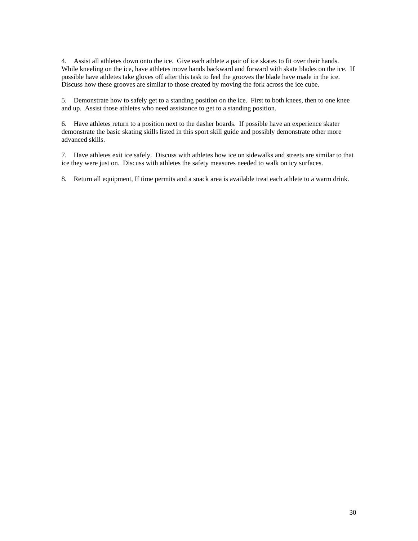4. Assist all athletes down onto the ice. Give each athlete a pair of ice skates to fit over their hands. While kneeling on the ice, have athletes move hands backward and forward with skate blades on the ice. If possible have athletes take gloves off after this task to feel the grooves the blade have made in the ice. Discuss how these grooves are similar to those created by moving the fork across the ice cube.

5. Demonstrate how to safely get to a standing position on the ice. First to both knees, then to one knee and up. Assist those athletes who need assistance to get to a standing position.

6. Have athletes return to a position next to the dasher boards. If possible have an experience skater demonstrate the basic skating skills listed in this sport skill guide and possibly demonstrate other more advanced skills.

7. Have athletes exit ice safely. Discuss with athletes how ice on sidewalks and streets are similar to that ice they were just on. Discuss with athletes the safety measures needed to walk on icy surfaces.

8. Return all equipment, If time permits and a snack area is available treat each athlete to a warm drink.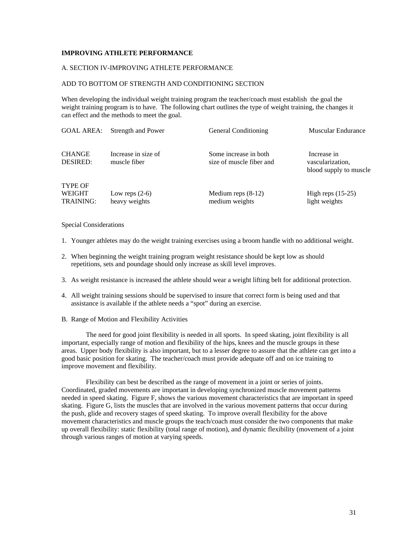# **IMPROVING ATHLETE PERFORMANCE**

#### A. SECTION IV-IMPROVING ATHLETE PERFORMANCE

#### ADD TO BOTTOM OF STRENGTH AND CONDITIONING SECTION

When developing the individual weight training program the teacher/coach must establish the goal the weight training program is to have. The following chart outlines the type of weight training, the changes it can effect and the methods to meet the goal.

| GOAL AREA: Strength and Power       |                | <b>Muscular Endurance</b>                                                                              |
|-------------------------------------|----------------|--------------------------------------------------------------------------------------------------------|
|                                     |                |                                                                                                        |
| Increase in size of<br>muscle fiber |                | Increase in<br>vascularization,<br>blood supply to muscle                                              |
| Low reps $(2-6)$<br>heavy weights   | medium weights | High reps $(15-25)$<br>light weights                                                                   |
|                                     |                | <b>General Conditioning</b><br>Some increase in both<br>size of muscle fiber and<br>Medium reps (8-12) |

### Special Considerations

- 1. Younger athletes may do the weight training exercises using a broom handle with no additional weight.
- 2. When beginning the weight training program weight resistance should be kept low as should repetitions, sets and poundage should only increase as skill level improves.
- 3. As weight resistance is increased the athlete should wear a weight lifting belt for additional protection.
- 4. All weight training sessions should be supervised to insure that correct form is being used and that assistance is available if the athlete needs a "spot" during an exercise.
- B. Range of Motion and Flexibility Activities

The need for good joint flexibility is needed in all sports. In speed skating, joint flexibility is all important, especially range of motion and flexibility of the hips, knees and the muscle groups in these areas. Upper body flexibility is also important, but to a lesser degree to assure that the athlete can get into a good basic position for skating. The teacher/coach must provide adequate off and on ice training to improve movement and flexibility.

Flexibility can best be described as the range of movement in a joint or series of joints. Coordinated, graded movements are important in developing synchronized muscle movement patterns needed in speed skating. Figure F, shows the various movement characteristics that are important in speed skating. Figure G, lists the muscles that are involved in the various movement patterns that occur during the push, glide and recovery stages of speed skating. To improve overall flexibility for the above movement characteristics and muscle groups the teach/coach must consider the two components that make up overall flexibility: static flexibility (total range of motion), and dynamic flexibility (movement of a joint through various ranges of motion at varying speeds.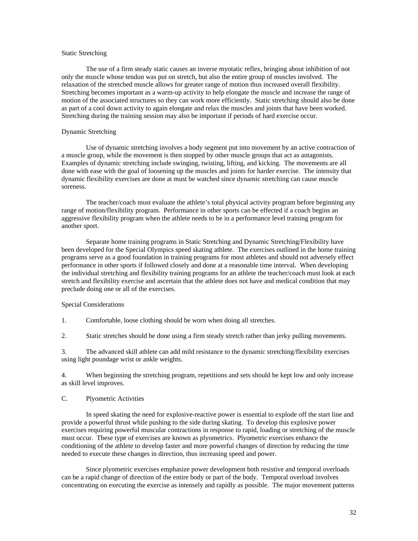#### Static Stretching Structure of the static Stretching Static Stretching Stretching Stretching Stretching Stretching Stretching Stretching Stretching Stretching Stretching Stretching Stretching Stretching Stretching Stretchi

The use of a firm steady static causes an inverse myotatic reflex, bringing about inhibition of not only the muscle whose tendon was put on stretch, but also the entire group of muscles involved. The relaxation of the stretched muscle allows for greater range of motion thus increased overall flexibility. Stretching becomes important as a warm-up activity to help elongate the muscle and increase the range of motion of the associated structures so they can work more efficiently. Static stretching should also be done as part of a cool down activity to again elongate and relax the muscles and joints that have been worked. Stretching during the training session may also be important if periods of hard exercise occur.

#### Dynamic Stretching

Use of dynamic stretching involves a body segment put into movement by an active contraction of a muscle group, while the movement is then stopped by other muscle groups that act as antagonists. Examples of dynamic stretching include swinging, twisting, lifting, and kicking. The movements are all done with ease with the goal of loosening up the muscles and joints for harder exercise. The intensity that dynamic flexibility exercises are done at must be watched since dynamic stretching can cause muscle soreness.

The teacher/coach must evaluate the athlete's total physical activity program before beginning any range of motion/flexibility program. Performance in other sports can be effected if a coach begins an aggressive flexibility program when the athlete needs to be in a performance level training program for another sport.

Separate home training programs in Static Stretching and Dynamic Stretching/Flexibility have been developed for the Special Olympics speed skating athlete. The exercises outlined in the home training programs serve as a good foundation in training programs for most athletes and should not adversely effect performance in other sports if followed closely and done at a reasonable time interval. When developing the individual stretching and flexibility training programs for an athlete the teacher/coach must look at each stretch and flexibility exercise and ascertain that the athlete does not have and medical condition that may preclude doing one or all of the exercises.

#### Special Considerations

1. Comfortable, loose clothing should be worn when doing all stretches.

2. Static stretches should be done using a firm steady stretch rather than jerky pulling movements.

3. The advanced skill athlete can add mild resistance to the dynamic stretching/flexibility exercises using light poundage wrist or ankle weights.

4. When beginning the stretching program, repetitions and sets should be kept low and only increase as skill level improves.

#### C. Plyometric Activities

In speed skating the need for explosive-reactive power is essential to explode off the start line and provide a powerful thrust while pushing to the side during skating. To develop this explosive power exercises requiring powerful muscular contractions in response to rapid, loading or stretching of the muscle must occur. These type of exercises are known as plyometrics. Plyometric exercises enhance the conditioning of the athlete to develop faster and more powerful changes of direction by reducing the time needed to execute these changes in direction, thus increasing speed and power.

Since plyometric exercises emphasize power development both resistive and temporal overloads can be a rapid change of direction of the entire body or part of the body. Temporal overload involves concentrating on executing the exercise as intensely and rapidly as possible. The major movement patterns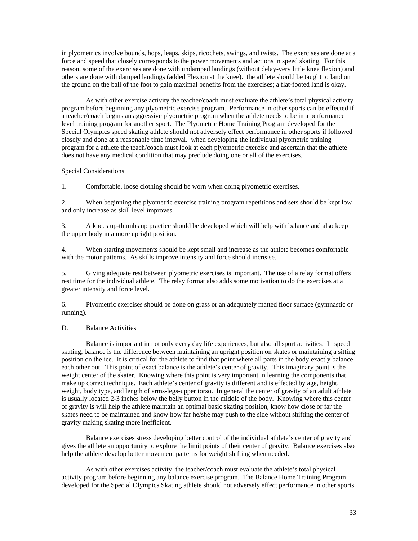in plyometrics involve bounds, hops, leaps, skips, ricochets, swings, and twists. The exercises are done at a force and speed that closely corresponds to the power movements and actions in speed skating. For this reason, some of the exercises are done with undamped landings (without delay-very little knee flexion) and others are done with damped landings (added Flexion at the knee). the athlete should be taught to land on the ground on the ball of the foot to gain maximal benefits from the exercises; a flat-footed land is okay.

As with other exercise activity the teacher/coach must evaluate the athlete's total physical activity program before beginning any plyometric exercise program. Performance in other sports can be effected if a teacher/coach begins an aggressive plyometric program when the athlete needs to be in a performance level training program for another sport. The Plyometric Home Training Program developed for the Special Olympics speed skating athlete should not adversely effect performance in other sports if followed closely and done at a reasonable time interval. when developing the individual plyometric training program for a athlete the teach/coach must look at each plyometric exercise and ascertain that the athlete does not have any medical condition that may preclude doing one or all of the exercises.

#### Special Considerations and the state of the state of the state of the state of the state of the state of the state of the state of the state of the state of the state of the state of the state of the state of the state of

1. Comfortable, loose clothing should be worn when doing plyometric exercises.

2. When beginning the plyometric exercise training program repetitions and sets should be kept low and only increase as skill level improves.

3. A knees up-thumbs up practice should be developed which will help with balance and also keep the upper body in a more upright position.

4. When starting movements should be kept small and increase as the athlete becomes comfortable with the motor patterns. As skills improve intensity and force should increase.

5. Giving adequate rest between plyometric exercises is important. The use of a relay format offers rest time for the individual athlete. The relay format also adds some motivation to do the exercises at a greater intensity and force level.

6. Plyometric exercises should be done on grass or an adequately matted floor surface (gymnastic or running).

#### D. Balance Activities

Balance is important in not only every day life experiences, but also all sport activities. In speed skating, balance is the difference between maintaining an upright position on skates or maintaining a sitting position on the ice. It is critical for the athlete to find that point where all parts in the body exactly balance each other out. This point of exact balance is the athlete's center of gravity. This imaginary point is the weight center of the skater. Knowing where this point is very important in learning the components that make up correct technique. Each athlete's center of gravity is different and is effected by age, height, weight, body type, and length of arms-legs-upper torso. In general the center of gravity of an adult athlete is usually located 2-3 inches below the belly button in the middle of the body. Knowing where this center of gravity is will help the athlete maintain an optimal basic skating position, know how close or far the skates need to be maintained and know how far he/she may push to the side without shifting the center of gravity making skating more inefficient.

Balance exercises stress developing better control of the individual athlete's center of gravity and gives the athlete an opportunity to explore the limit points of their center of gravity. Balance exercises also help the athlete develop better movement patterns for weight shifting when needed.

As with other exercises activity, the teacher/coach must evaluate the athlete's total physical activity program before beginning any balance exercise program. The Balance Home Training Program developed for the Special Olympics Skating athlete should not adversely effect performance in other sports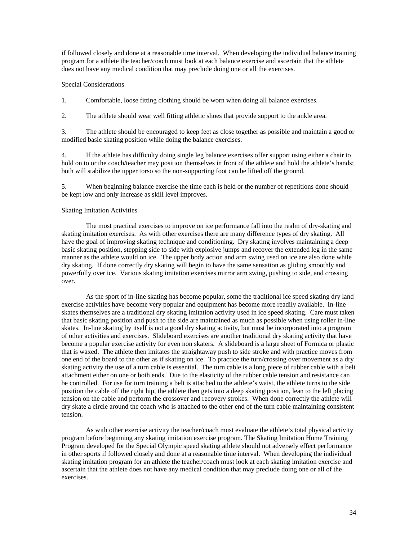if followed closely and done at a reasonable time interval. When developing the individual balance training program for a athlete the teacher/coach must look at each balance exercise and ascertain that the athlete does not have any medical condition that may preclude doing one or all the exercises.

### Special Considerations and the state of the state of the state of the state of the state of the state of the state of the state of the state of the state of the state of the state of the state of the state of the state of

1. Comfortable, loose fitting clothing should be worn when doing all balance exercises.

2. The athlete should wear well fitting athletic shoes that provide support to the ankle area.

3. The athlete should be encouraged to keep feet as close together as possible and maintain a good or modified basic skating position while doing the balance exercises.

4. If the athlete has difficulty doing single leg balance exercises offer support using either a chair to hold on to or the coach/teacher may position themselves in front of the athlete and hold the athlete's hands; both will stabilize the upper torso so the non-supporting foot can be lifted off the ground.

5. When beginning balance exercise the time each is held or the number of repetitions done should be kept low and only increase as skill level improves.

### Skating Imitation Activities

The most practical exercises to improve on ice performance fall into the realm of dry-skating and skating imitation exercises. As with other exercises there are many difference types of dry skating. All have the goal of improving skating technique and conditioning. Dry skating involves maintaining a deep basic skating position, stepping side to side with explosive jumps and recover the extended leg in the same manner as the athlete would on ice. The upper body action and arm swing used on ice are also done while dry skating. If done correctly dry skating will begin to have the same sensation as gliding smoothly and powerfully over ice. Various skating imitation exercises mirror arm swing, pushing to side, and crossing over.

As the sport of in-line skating has become popular, some the traditional ice speed skating dry land exercise activities have become very popular and equipment has become more readily available. In-line skates themselves are a traditional dry skating imitation activity used in ice speed skating. Care must taken that basic skating position and push to the side are maintained as much as possible when using roller in-line skates. In-line skating by itself is not a good dry skating activity, but must be incorporated into a program of other activities and exercises. Slideboard exercises are another traditional dry skating activity that have become a popular exercise activity for even non skaters. A slideboard is a large sheet of Formica or plastic that is waxed. The athlete then imitates the straightaway push to side stroke and with practice moves from one end of the board to the other as if skating on ice. To practice the turn/crossing over movement as a dry skating activity the use of a turn cable is essential. The turn cable is a long piece of rubber cable with a belt attachment either on one or both ends. Due to the elasticity of the rubber cable tension and resistance can be controlled. For use for turn training a belt is attached to the athlete's waist, the athlete turns to the side position the cable off the right hip, the athlete then gets into a deep skating position, lean to the left placing tension on the cable and perform the crossover and recovery strokes. When done correctly the athlete will dry skate a circle around the coach who is attached to the other end of the turn cable maintaining consistent tension.

As with other exercise activity the teacher/coach must evaluate the athlete's total physical activity program before beginning any skating imitation exercise program. The Skating Imitation Home Training Program developed for the Special Olympic speed skating athlete should not adversely effect performance in other sports if followed closely and done at a reasonable time interval. When developing the individual skating imitation program for an athlete the teacher/coach must look at each skating imitation exercise and ascertain that the athlete does not have any medical condition that may preclude doing one or all of the exercises.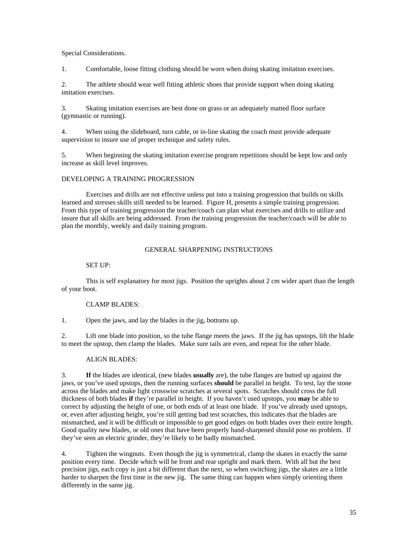### Special Considerations.

1. Comfortable, loose fitting clothing should be worn when doing skating imitation exercises.

2. The athlete should wear well fitting athletic shoes that provide support when doing skating imitation exercises.

3. Skating imitation exercises are best done on grass or an adequately matted floor surface (gymnastic or running).

4. When using the slideboard, turn cable, or in-line skating the coach must provide adequate supervision to insure use of proper technique and safety rules.

5. When beginning the skating imitation exercise program repetitions should be kept low and only increase as skill level improves.

# DEVELOPING A TRAINING PROGRESSION

Exercises and drills are not effective unless put into a training progression that builds on skills learned and stresses skills still needed to be learned. Figure H, presents a simple training progression. From this type of training progression the teacher/coach can plan what exercises and drills to utilize and insure that all skills are being addressed. From the training progression the teacher/coach will be able to plan the monthly, weekly and daily training program.

### GENERAL SHARPENING INSTRUCTIONS

# SET UP:

This is self explanatory for most jigs. Position the uprights about 2 cm wider apart than the length of your boot.

# CLAMP BLADES:

1. Open the jaws, and lay the blades in the jig, bottoms up.

2. Lift one blade into position, so the tube flange meets the jaws. If the jig has upstops, lift the blade to meet the upstop, then clamp the blades. Make sure tails are even, and repeat for the other blade.

# ALIGN BLADES:

3. **If** the blades are identical, (new blades **usually** are), the tube flanges are butted up against the jaws, or you've used upstops, then the running surfaces **should** be parallel in height. To test, lay the stone across the blades and make light crosswise scratches at several spots. Scratches should cross the full thickness of both blades **if** they're parallel in height. If you haven't used upstops, you **may** be able to correct by adjusting the height of one, or both ends of at least one blade. If you've already used upstops, or, even after adjusting height, you're still getting bad test scratches, this indicates that the blades are mismatched, and it will be difficult or impossible to get good edges on both blades over their entire length. Good quality new blades, or old ones that have been properly hand-sharpened should pose no problem. If they've seen an electric grinder, they're likely to be badly mismatched.

4. Tighten the wingnuts. Even though the jig is symmetrical, clamp the skates in exactly the same position every time. Decide which will be front and rear upright and mark them. With all but the best precision jigs, each copy is just a bit different than the next, so when switching jigs, the skates are a little harder to sharpen the first time in the new jig. The same thing can happen when simply orienting them differently in the same jig.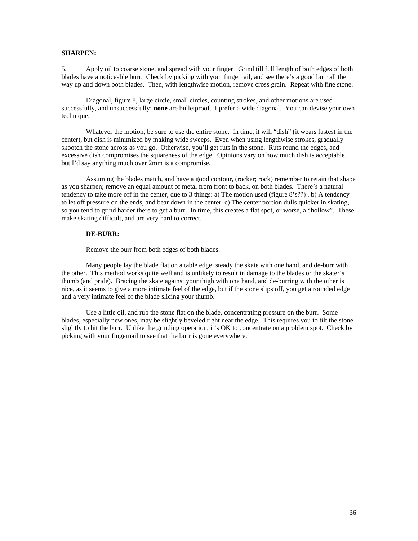#### **SHARPEN:**

5. Apply oil to coarse stone, and spread with your finger. Grind till full length of both edges of both blades have a noticeable burr. Check by picking with your fingernail, and see there's a good burr all the way up and down both blades. Then, with lengthwise motion, remove cross grain. Repeat with fine stone.

Diagonal, figure 8, large circle, small circles, counting strokes, and other motions are used successfully, and unsuccessfully; **none** are bulletproof. I prefer a wide diagonal. You can devise your own technique.

Whatever the motion, be sure to use the entire stone. In time, it will "dish" (it wears fastest in the center), but dish is minimized by making wide sweeps. Even when using lengthwise strokes, gradually skootch the stone across as you go. Otherwise, you'll get ruts in the stone. Ruts round the edges, and excessive dish compromises the squareness of the edge. Opinions vary on how much dish is acceptable, but I'd say anything much over 2mm is a compromise.

Assuming the blades match, and have a good contour, (rocker; rock) remember to retain that shape as you sharpen; remove an equal amount of metal from front to back, on both blades. There's a natural tendency to take more off in the center, due to 3 things: a) The motion used (figure  $8's$ ??). b) A tendency to let off pressure on the ends, and bear down in the center. c) The center portion dulls quicker in skating, so you tend to grind harder there to get a burr. In time, this creates a flat spot, or worse, a "hollow". These make skating difficult, and are very hard to correct.

#### **DE-BURR:**

Remove the burr from both edges of both blades.

Many people lay the blade flat on a table edge, steady the skate with one hand, and de-burr with the other. This method works quite well and is unlikely to result in damage to the blades or the skater's thumb (and pride). Bracing the skate against your thigh with one hand, and de-burring with the other is nice, as it seems to give a more intimate feel of the edge, but if the stone slips off, you get a rounded edge and a very intimate feel of the blade slicing your thumb.

Use a little oil, and rub the stone flat on the blade, concentrating pressure on the burr. Some blades, especially new ones, may be slightly beveled right near the edge. This requires you to tilt the stone slightly to hit the burr. Unlike the grinding operation, it's OK to concentrate on a problem spot. Check by picking with your fingernail to see that the burr is gone everywhere.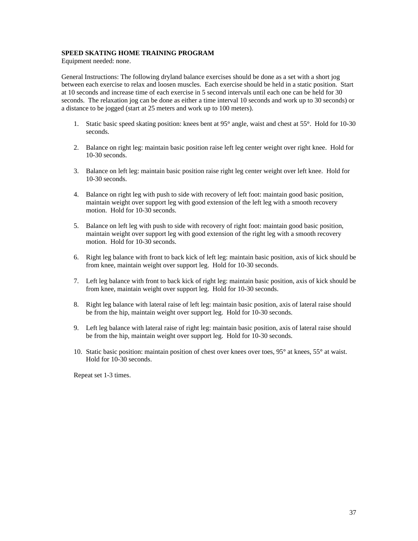# **SPEED SKATING HOME TRAINING PROGRAM**

Equipment needed: none.

General Instructions: The following dryland balance exercises should be done as a set with a short jog between each exercise to relax and loosen muscles. Each exercise should be held in a static position. Start at 10 seconds and increase time of each exercise in 5 second intervals until each one can be held for 30 seconds. The relaxation jog can be done as either a time interval 10 seconds and work up to 30 seconds) or a distance to be jogged (start at 25 meters and work up to 100 meters).

- 1. Static basic speed skating position: knees bent at 95° angle, waist and chest at 55°. Hold for 10-30 seconds.
- 2. Balance on right leg: maintain basic position raise left leg center weight over right knee. Hold for 10-30 seconds.
- 3. Balance on left leg: maintain basic position raise right leg center weight over left knee. Hold for 10-30 seconds.
- 4. Balance on right leg with push to side with recovery of left foot: maintain good basic position, maintain weight over support leg with good extension of the left leg with a smooth recovery motion. Hold for 10-30 seconds.
- 5. Balance on left leg with push to side with recovery of right foot: maintain good basic position, maintain weight over support leg with good extension of the right leg with a smooth recovery motion. Hold for 10-30 seconds.
- 6. Right leg balance with front to back kick of left leg: maintain basic position, axis of kick should be from knee, maintain weight over support leg. Hold for 10-30 seconds.
- 7. Left leg balance with front to back kick of right leg: maintain basic position, axis of kick should be from knee, maintain weight over support leg. Hold for 10-30 seconds.
- 8. Right leg balance with lateral raise of left leg: maintain basic position, axis of lateral raise should be from the hip, maintain weight over support leg. Hold for 10-30 seconds.
- 9. Left leg balance with lateral raise of right leg: maintain basic position, axis of lateral raise should be from the hip, maintain weight over support leg. Hold for 10-30 seconds.
- 10. Static basic position: maintain position of chest over knees over toes, 95° at knees, 55° at waist. Hold for 10-30 seconds.

Repeat set 1-3 times.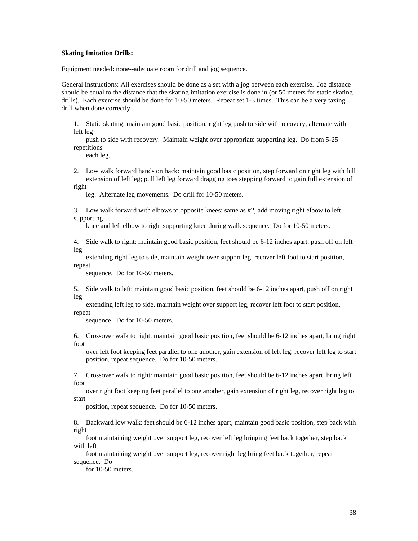#### **Skating Imitation Drills:**

Equipment needed: none--adequate room for drill and jog sequence.

General Instructions: All exercises should be done as a set with a jog between each exercise. Jog distance should be equal to the distance that the skating imitation exercise is done in (or 50 meters for static skating drills). Each exercise should be done for 10-50 meters. Repeat set 1-3 times. This can be a very taxing drill when done correctly.

1. Static skating: maintain good basic position, right leg push to side with recovery, alternate with left leg

push to side with recovery. Maintain weight over appropriate supporting leg. Do from 5-25 repetitions and the contract of the contract of the contract of the contract of the contract of the contract of the contract of the contract of the contract of the contract of the contract of the contract of the contract o

each leg.

2. Low walk forward hands on back: maintain good basic position, step forward on right leg with full extension of left leg; pull left leg forward dragging toes stepping forward to gain full extension of right

leg. Alternate leg movements. Do drill for 10-50 meters.

3. Low walk forward with elbows to opposite knees: same as #2, add moving right elbow to left supporting the contract of the contract of the contract of the contract of the contract of the contract of the contract of the contract of the contract of the contract of the contract of the contract of the contract of the

knee and left elbow to right supporting knee during walk sequence. Do for 10-50 meters.

4. Side walk to right: maintain good basic position, feet should be 6-12 inches apart, push off on left leg and the state of the state of the state of the state of the state of the state of the state of the state o

extending right leg to side, maintain weight over support leg, recover left foot to start position, repeat and the contract of the contract of the contract of the contract of the contract of the contract of the contract of the contract of the contract of the contract of the contract of the contract of the contract of the

sequence. Do for 10-50 meters.

5. Side walk to left: maintain good basic position, feet should be 6-12 inches apart, push off on right leg and the state of the state of the state of the state of the state of the state of the state of the state o

extending left leg to side, maintain weight over support leg, recover left foot to start position, repeat and the contract of the contract of the contract of the contract of the contract of the contract of the contract of the contract of the contract of the contract of the contract of the contract of the contract of the

sequence. Do for 10-50 meters.

6. Crossover walk to right: maintain good basic position, feet should be 6-12 inches apart, bring right foot

over left foot keeping feet parallel to one another, gain extension of left leg, recover left leg to start position, repeat sequence. Do for 10-50 meters.

7. Crossover walk to right: maintain good basic position, feet should be 6-12 inches apart, bring left foot

over right foot keeping feet parallel to one another, gain extension of right leg, recover right leg to start and the start of the start of the start of the start of the start of the start of the start of the start

position, repeat sequence. Do for 10-50 meters.

8. Backward low walk: feet should be 6-12 inches apart, maintain good basic position, step back with right

foot maintaining weight over support leg, recover left leg bringing feet back together, step back with left states of the states of the states of the states of the states of the states of the states of the states of the states of the states of the states of the states of the states of the states of the states of the st

foot maintaining weight over support leg, recover right leg bring feet back together, repeat sequence. Do

for 10-50 meters.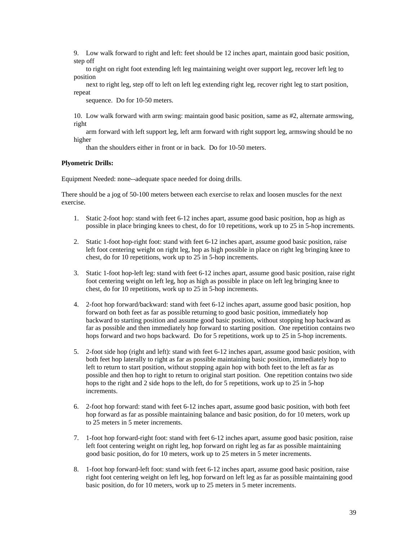9. Low walk forward to right and left: feet should be 12 inches apart, maintain good basic position, step off

to right on right foot extending left leg maintaining weight over support leg, recover left leg to position **provides the contract of the contract of the contract of the contract of the contract of the contract of the contract of the contract of the contract of the contract of the contract of the contract of the contrac** 

next to right leg, step off to left on left leg extending right leg, recover right leg to start position, repeat and the contract of the contract of the contract of the contract of the contract of the contract of the contract of the contract of the contract of the contract of the contract of the contract of the contract of the

sequence. Do for 10-50 meters.

10. Low walk forward with arm swing: maintain good basic position, same as #2, alternate armswing, right

arm forward with left support leg, left arm forward with right support leg, armswing should be no higher

than the shoulders either in front or in back. Do for 10-50 meters.

# **Plyometric Drills:**

Equipment Needed: none--adequate space needed for doing drills.

There should be a jog of 50-100 meters between each exercise to relax and loosen muscles for the next exercise.

- 1. Static 2-foot hop: stand with feet 6-12 inches apart, assume good basic position, hop as high as possible in place bringing knees to chest, do for 10 repetitions, work up to 25 in 5-hop increments.
- 2. Static 1-foot hop-right foot: stand with feet 6-12 inches apart, assume good basic position, raise left foot centering weight on right leg, hop as high possible in place on right leg bringing knee to chest, do for 10 repetitions, work up to 25 in 5-hop increments.
- 3. Static 1-foot hop-left leg: stand with feet 6-12 inches apart, assume good basic position, raise right foot centering weight on left leg, hop as high as possible in place on left leg bringing knee to chest, do for 10 repetitions, work up to 25 in 5-hop increments.
- 4. 2-foot hop forward/backward: stand with feet 6-12 inches apart, assume good basic position, hop forward on both feet as far as possible returning to good basic position, immediately hop backward to starting position and assume good basic position, without stopping hop backward as far as possible and then immediately hop forward to starting position. One repetition contains two hops forward and two hops backward. Do for 5 repetitions, work up to 25 in 5-hop increments.
- 5. 2-foot side hop (right and left): stand with feet 6-12 inches apart, assume good basic position, with both feet hop laterally to right as far as possible maintaining basic position, immediately hop to left to return to start position, without stopping again hop with both feet to the left as far as possible and then hop to right to return to original start position. One repetition contains two side hops to the right and 2 side hops to the left, do for 5 repetitions, work up to 25 in 5-hop increments.
- 6. 2-foot hop forward: stand with feet 6-12 inches apart, assume good basic position, with both feet hop forward as far as possible maintaining balance and basic position, do for 10 meters, work up to 25 meters in 5 meter increments.
- 7. 1-foot hop forward-right foot: stand with feet 6-12 inches apart, assume good basic position, raise left foot centering weight on right leg, hop forward on right leg as far as possible maintaining good basic position, do for 10 meters, work up to 25 meters in 5 meter increments.
- 8. 1-foot hop forward-left foot: stand with feet 6-12 inches apart, assume good basic position, raise right foot centering weight on left leg, hop forward on left leg as far as possible maintaining good basic position, do for 10 meters, work up to 25 meters in 5 meter increments.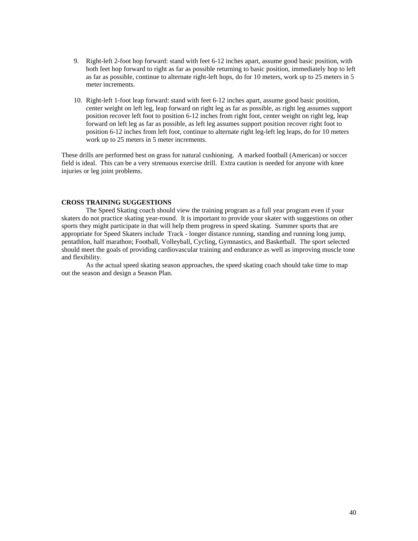- 9. Right-left 2-foot hop forward: stand with feet 6-12 inches apart, assume good basic position, with both feet hop forward to right as far as possible returning to basic position, immediately hop to left as far as possible, continue to alternate right-left hops, do for 10 meters, work up to 25 meters in 5 meter increments.
- 10. Right-left 1-foot leap forward: stand with feet 6-12 inches apart, assume good basic position, center weight on left leg, leap forward on right leg as far as possible, as right leg assumes support position recover left foot to position 6-12 inches from right foot, center weight on right leg, leap forward on left leg as far as possible, as left leg assumes support position recover right foot to position 6-12 inches from left foot, continue to alternate right leg-left leg leaps, do for 10 meters work up to 25 meters in 5 meter increments.

These drills are performed best on grass for natural cushioning. A marked football (American) or soccer field is ideal. This can be a very strenuous exercise drill. Extra caution is needed for anyone with knee injuries or leg joint problems.

# **CROSS TRAINING SUGGESTIONS**

The Speed Skating coach should view the training program as a full year program even if your skaters do not practice skating year-round. It is important to provide your skater with suggestions on other sports they might participate in that will help them progress in speed skating. Summer sports that are appropriate for Speed Skaters include Track - longer distance running, standing and running long jump, pentathlon, half marathon; Football, Volleyball, Cycling, Gymnastics, and Basketball. The sport selected should meet the goals of providing cardiovascular training and endurance as well as improving muscle tone and flexibility.

As the actual speed skating season approaches, the speed skating coach should take time to map out the season and design a Season Plan.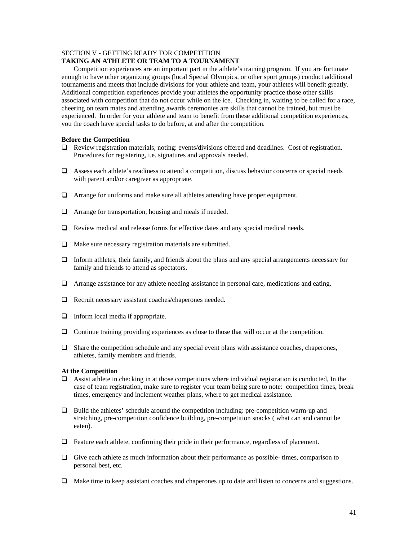# SECTION V - GETTING READY FOR COMPETITION

# **TAKING AN ATHLETE OR TEAM TO A TOURNAMENT**

Competition experiences are an important part in the athlete's training program. If you are fortunate enough to have other organizing groups (local Special Olympics, or other sport groups) conduct additional tournaments and meets that include divisions for your athlete and team, your athletes will benefit greatly. Additional competition experiences provide your athletes the opportunity practice those other skills associated with competition that do not occur while on the ice. Checking in, waiting to be called for a race, cheering on team mates and attending awards ceremonies are skills that cannot be trained, but must be experienced. In order for your athlete and team to benefit from these additional competition experiences, you the coach have special tasks to do before, at and after the competition.

### **Before the Competition**

- $\Box$  Review registration materials, noting: events/divisions offered and deadlines. Cost of registration. Procedures for registering, i.e. signatures and approvals needed.
- $\Box$  Assess each athlete's readiness to attend a competition, discuss behavior concerns or special needs with parent and/or caregiver as appropriate.
- Arrange for uniforms and make sure all athletes attending have proper equipment.
- Arrange for transportation, housing and meals if needed.
- $\Box$  Review medical and release forms for effective dates and any special medical needs.
- $\Box$  Make sure necessary registration materials are submitted.
- $\Box$  Inform athletes, their family, and friends about the plans and any special arrangements necessary for family and friends to attend as spectators.
- Arrange assistance for any athlete needing assistance in personal care, medications and eating.
- □ Recruit necessary assistant coaches/chaperones needed.
- $\Box$  Inform local media if appropriate.
- Continue training providing experiences as close to those that will occur at the competition.
- $\Box$  Share the competition schedule and any special event plans with assistance coaches, chaperones, athletes, family members and friends.

### **At the Competition**

- $\Box$  Assist athlete in checking in at those competitions where individual registration is conducted, In the case of team registration, make sure to register your team being sure to note: competition times, break times, emergency and inclement weather plans, where to get medical assistance.
- Build the athletes' schedule around the competition including: pre-competition warm-up and stretching, pre-competition confidence building, pre-competition snacks ( what can and cannot be eaten).
- $\Box$  Feature each athlete, confirming their pride in their performance, regardless of placement.
- $\Box$  Give each athlete as much information about their performance as possible- times, comparison to personal best, etc.
- Make time to keep assistant coaches and chaperones up to date and listen to concerns and suggestions.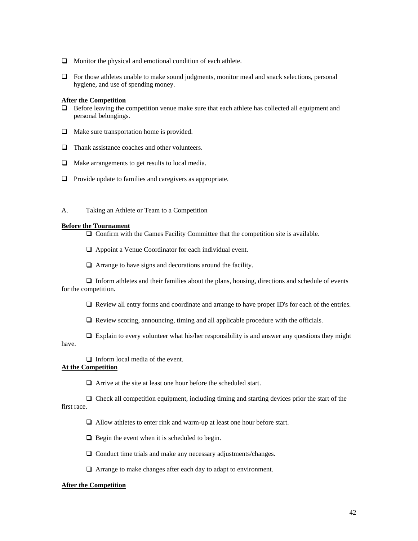- $\Box$  Monitor the physical and emotional condition of each athlete.
- $\Box$  For those athletes unable to make sound judgments, monitor meal and snack selections, personal hygiene, and use of spending money.

#### **After the Competition**

- $\Box$  Before leaving the competition venue make sure that each athlete has collected all equipment and personal belongings.
- $\Box$  Make sure transportation home is provided.
- Thank assistance coaches and other volunteers.
- $\Box$  Make arrangements to get results to local media.
- $\Box$  Provide update to families and caregivers as appropriate.
- A. Taking an Athlete or Team to a Competition

#### **Before the Tournament**

 $\Box$  Confirm with the Games Facility Committee that the competition site is available.

Appoint a Venue Coordinator for each individual event.

 $\Box$  Arrange to have signs and decorations around the facility.

 $\Box$  Inform athletes and their families about the plans, housing, directions and schedule of events for the competition.

Review all entry forms and coordinate and arrange to have proper ID's for each of the entries.

 $\Box$  Review scoring, announcing, timing and all applicable procedure with the officials.

 $\Box$  Explain to every volunteer what his/her responsibility is and answer any questions they might have.

 $\Box$  Inform local media of the event.

### **At the Competition**

Arrive at the site at least one hour before the scheduled start.

 $\Box$  Check all competition equipment, including timing and starting devices prior the start of the first race.

Allow athletes to enter rink and warm-up at least one hour before start.

 $\Box$  Begin the event when it is scheduled to begin.

□ Conduct time trials and make any necessary adjustments/changes.

Arrange to make changes after each day to adapt to environment.

### **After the Competition**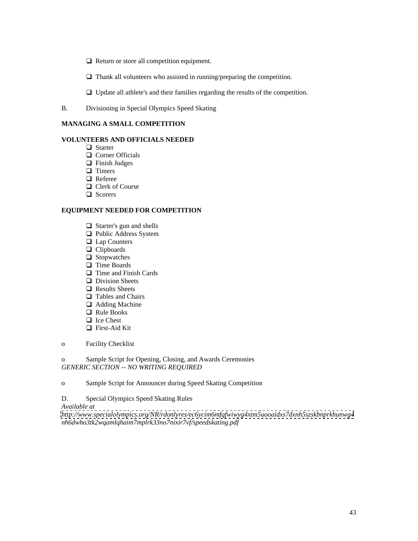$\Box$  Return or store all competition equipment.

 $\Box$  Thank all volunteers who assisted in running/preparing the competition.

 $\Box$  Update all athlete's and their families regarding the results of the competition.

B. Divisioning in Special Olympics Speed Skating

#### **MANAGING A SMALL COMPETITION**

#### **VOLUNTEERS AND OFFICIALS NEEDED**

- Starter and the starter of the starter of the starter of the starter of the starter of the starter of the starter
- Corner Officials
- Finish Judges
- Timers and the state of the state of the state of the state of the state of the state of the state of the state of the state of the state of the state of the state of the state of the state of the state of the state of the
- Referee **Reference**
- Clerk of Course
- Scorers and the second state of the second state of the second state of the second state of the second state of the second state of the second state of the second state of the second state of the second state of the second

# **EQUIPMENT NEEDED FOR COMPETITION**

- Starter's gun and shells
- Public Address System
- Lap Counters
- Clipboards
- Stopwatches and the stop was a structure of the state of the state of the state of the state of the state of the state of the state of the state of the state of the state of the state of the state of the state of the state
- Time Boards **Security Boards Security Boards Security C Boards Security C Boards**
- Time and Finish Cards
- Division Sheets **Sheets** and the state of the state of the state of the state of the state of the state of the state of the state of the state of the state of the state of the state of the state of the state of the state o
- Results Sheets
- Tables and Chairs **Tables** and Chairs **Tables** and Chairs **Tables** and Chairs **Tables** and Chairs **Tables** and Chairs **Tables** and Chairs **Tables** and Chairs **Tables** and Chairs **Tables** and Chairs **Tables** and Chairs **Tab**
- Adding Machine **Mathematics Adding** Machine **Adding** Machine *Adding* Machine *Adding* Machine *Adding* Machine *Adding* Machine *Adding* Machine *Adding* Machine *Adding* Machine *Adding* Machine *Addin*
- Rule Books **Example 2018**
- Ice Chest
- First-Aid Kit
- o Facility Checklist

o Sample Script for Opening, Closing, and Awards Ceremonies *GENERIC SECTION -- NO WRITING REQUIRED*

o Sample Script for Announcer during Speed Skating Competition

D. Special Olympics Speed Skating Rules

*Available at* 

*<http://www.specialolympics.org/NR/rdonlyres/ec6ycim6mfqfwiwyg4xtm5uooaidxs7dxnh5szskbnprkhunwg4> nh6dwho3tk2wqamlqhaim7mplrk33no7nixir7vf/speedskating.pdf*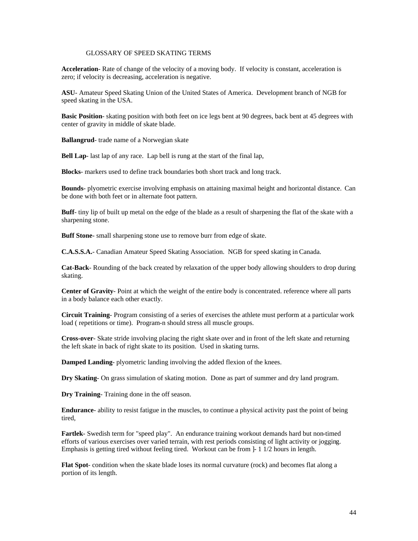#### GLOSSARY OF SPEED SKATING TERMS

**Acceleration**- Rate of change of the velocity of a moving body. If velocity is constant, acceleration is zero; if velocity is decreasing, acceleration is negative.

**ASU**- Amateur Speed Skating Union of the United States of America. Development branch of NGB for speed skating in the USA.

**Basic Position**- skating position with both feet on ice legs bent at 90 degrees, back bent at 45 degrees with center of gravity in middle of skate blade.

**Ballangrud**- trade name of a Norwegian skate

**Bell Lap**- last lap of any race. Lap bell is rung at the start of the final lap,

**Blocks**- markers used to define track boundaries both short track and long track.

**Bounds**- plyometric exercise involving emphasis on attaining maximal height and horizontal distance. Can be done with both feet or in alternate foot pattern.

**Buff**- tiny lip of built up metal on the edge of the blade as a result of sharpening the flat of the skate with a sharpening stone.

**Buff Stone**- small sharpening stone use to remove burr from edge of skate.

**C.A.S.S.A.**- Canadian Amateur Speed Skating Association. NGB for speed skating in Canada.

**Cat-Back**- Rounding of the back created by relaxation of the upper body allowing shoulders to drop during skating.

**Center of Gravity**- Point at which the weight of the entire body is concentrated. reference where all parts in a body balance each other exactly.

**Circuit Training**- Program consisting of a series of exercises the athlete must perform at a particular work load ( repetitions or time). Program-n should stress all muscle groups.

**Cross-over**- Skate stride involving placing the right skate over and in front of the left skate and returning the left skate in back of right skate to its position. Used in skating turns.

**Damped Landing**- plyometric landing involving the added flexion of the knees.

**Dry Skating**- On grass simulation of skating motion. Done as part of summer and dry land program.

**Dry Training**- Training done in the off season.

**Endurance**- ability to resist fatigue in the muscles, to continue a physical activity past the point of being tired,

**Fartlek**- Swedish term for "speed play". An endurance training workout demands hard but non-timed efforts of various exercises over varied terrain, with rest periods consisting of light activity or jogging. Emphasis is getting tired without feeling tired. Workout can be from  $-1$  1/2 hours in length.

**Flat Spot**- condition when the skate blade loses its normal curvature (rock) and becomes flat along a portion of its length.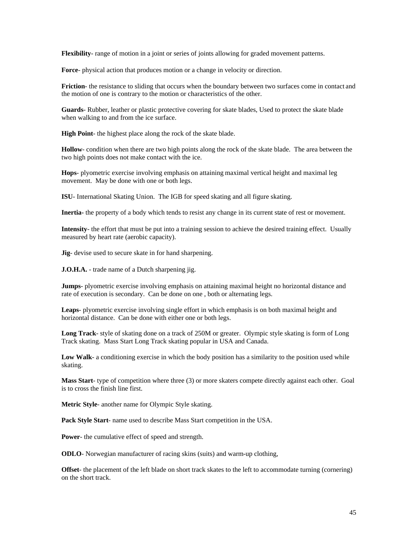**Flexibility**- range of motion in a joint or series of joints allowing for graded movement patterns.

**Force**- physical action that produces motion or a change in velocity or direction.

**Friction**- the resistance to sliding that occurs when the boundary between two surfaces come in contact and the motion of one is contrary to the motion or characteristics of the other.

**Guards**- Rubber, leather or plastic protective covering for skate blades, Used to protect the skate blade when walking to and from the ice surface.

**High Point**- the highest place along the rock of the skate blade.

**Hollow**- condition when there are two high points along the rock of the skate blade. The area between the two high points does not make contact with the ice.

**Hops**- plyometric exercise involving emphasis on attaining maximal vertical height and maximal leg movement. May be done with one or both legs.

**ISU**- International Skating Union. The IGB for speed skating and all figure skating.

**Inertia-** the property of a body which tends to resist any change in its current state of rest or movement.

**Intensity**- the effort that must be put into a training session to achieve the desired training effect. Usually measured by heart rate (aerobic capacity).

**Jig**- devise used to secure skate in for hand sharpening.

**J.O.H.A.** - trade name of a Dutch sharpening jig.

**Jumps**- plyometric exercise involving emphasis on attaining maximal height no horizontal distance and rate of execution is secondary. Can be done on one , both or alternating legs.

**Leaps**- plyometric exercise involving single effort in which emphasis is on both maximal height and horizontal distance. Can be done with either one or both legs.

**Long Track**- style of skating done on a track of 250M or greater. Olympic style skating is form of Long Track skating. Mass Start Long Track skating popular in USA and Canada.

**Low Walk**- a conditioning exercise in which the body position has a similarity to the position used while skating.

**Mass Start**- type of competition where three (3) or more skaters compete directly against each other. Goal is to cross the finish line first.

**Metric Style**- another name for Olympic Style skating.

**Pack Style Start**- name used to describe Mass Start competition in the USA.

**Power**- the cumulative effect of speed and strength.

**ODLO**- Norwegian manufacturer of racing skins (suits) and warm-up clothing,

**Offset**- the placement of the left blade on short track skates to the left to accommodate turning (cornering) on the short track.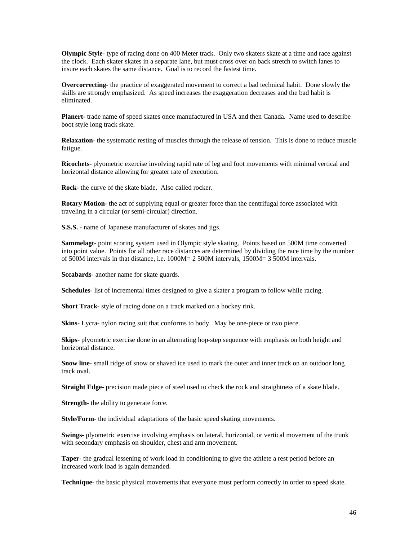**Olympic Style**- type of racing done on 400 Meter track. Only two skaters skate at a time and race against the clock. Each skater skates in a separate lane, but must cross over on back stretch to switch lanes to insure each skates the same distance. Goal is to record the fastest time.

**Overcorrecting**- the practice of exaggerated movement to correct a bad technical habit. Done slowly the skills are strongly emphasized. As speed increases the exaggeration decreases and the bad habit is eliminated.

**Planert**- trade name of speed skates once manufactured in USA and then Canada. Name used to describe boot style long track skate.

**Relaxation**- the systematic resting of muscles through the release of tension. This is done to reduce muscle fatigue.

**Ricochets**- plyometric exercise involving rapid rate of leg and foot movements with minimal vertical and horizontal distance allowing for greater rate of execution.

**Rock**- the curve of the skate blade. Also called rocker.

**Rotary Motion**- the act of supplying equal or greater force than the centrifugal force associated with traveling in a circular (or semi-circular) direction.

**S.S.S.** - name of Japanese manufacturer of skates and jigs.

**Sammelagt**- point scoring system used in Olympic style skating. Points based on 500M time converted into point value. Points for all other race distances are determined by dividing the race time by the number of 500M intervals in that distance, i.e. 1000M= 2 500M intervals, 1500M= 3 500M intervals.

**Sccabards**- another name for skate guards.

**Schedules**- list of incremental times designed to give a skater a program to follow while racing.

**Short Track**- style of racing done on a track marked on a hockey rink.

Skins- Lycra- nylon racing suit that conforms to body. May be one-piece or two piece.

**Skips**- plyometric exercise done in an alternating hop-step sequence with emphasis on both height and horizontal distance.

**Snow line**- small ridge of snow or shaved ice used to mark the outer and inner track on an outdoor long track oval.

**Straight Edge**- precision made piece of steel used to check the rock and straightness of a skate blade.

**Strength**- the ability to generate force.

**Style/Form**- the individual adaptations of the basic speed skating movements.

**Swings**- plyometric exercise involving emphasis on lateral, horizontal, or vertical movement of the trunk with secondary emphasis on shoulder, chest and arm movement.

**Taper**- the gradual lessening of work load in conditioning to give the athlete a rest period before an increased work load is again demanded.

**Technique**- the basic physical movements that everyone must perform correctly in order to speed skate.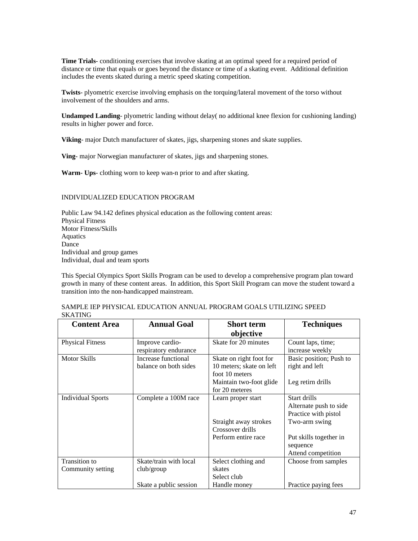**Time Trials**- conditioning exercises that involve skating at an optimal speed for a required period of distance or time that equals or goes beyond the distance or time of a skating event. Additional definition includes the events skated during a metric speed skating competition.

**Twists**- plyometric exercise involving emphasis on the torquing/lateral movement of the torso without involvement of the shoulders and arms.

**Undamped Landing**- plyometric landing without delay( no additional knee flexion for cushioning landing) results in higher power and force.

**Viking**- major Dutch manufacturer of skates, jigs, sharpening stones and skate supplies.

**Ving**- major Norwegian manufacturer of skates, jigs and sharpening stones.

**Warm- Ups**- clothing worn to keep wan-n prior to and after skating.

### INDIVIDUALIZED EDUCATION PROGRAM

Public Law 94.142 defines physical education as the following content areas: Physical Fitness Motor Fitness/Skills Aquatics and the contract of the contract of the contract of the contract of the contract of the contract of the contract of the contract of the contract of the contract of the contract of the contract of the contract of t Dance **Dance Dance Dance Dance Dance D** Individual and group games Individual, dual and team sports

This Special Olympics Sport Skills Program can be used to develop a comprehensive program plan toward growth in many of these content areas. In addition, this Sport Skill Program can move the student toward a transition into the non-handicapped mainstream.

| ~~~~~                              |                                                                |                                                                                                                    |                                                                                                                                             |
|------------------------------------|----------------------------------------------------------------|--------------------------------------------------------------------------------------------------------------------|---------------------------------------------------------------------------------------------------------------------------------------------|
| <b>Content Area</b>                | <b>Annual Goal</b>                                             | <b>Short term</b><br>objective                                                                                     | <b>Techniques</b>                                                                                                                           |
| <b>Physical Fitness</b>            | Improve cardio-<br>respiratory endurance                       | Skate for 20 minutes                                                                                               | Count laps, time;<br>increase weekly                                                                                                        |
| <b>Motor Skills</b>                | Increase functional<br>balance on both sides                   | Skate on right foot for<br>10 meters; skate on left<br>foot 10 meters<br>Maintain two-foot glide<br>for 20 meteres | Basic position; Push to<br>right and left<br>Leg retirn drills                                                                              |
| <b>Individual Sports</b>           | Complete a 100M race                                           | Learn proper start<br>Straight away strokes<br>Crossover drills<br>Perform entire race                             | Start drills<br>Alternate push to side<br>Practice with pistol<br>Two-arm swing<br>Put skills together in<br>sequence<br>Attend competition |
| Transition to<br>Community setting | Skate/train with local<br>club/group<br>Skate a public session | Select clothing and<br>skates<br>Select club<br>Handle money                                                       | Choose from samples<br>Practice paying fees                                                                                                 |

SAMPLE IEP PHYSICAL EDUCATION ANNUAL PROGRAM GOALS UTILIZING SPEED<br>SKATING SKATING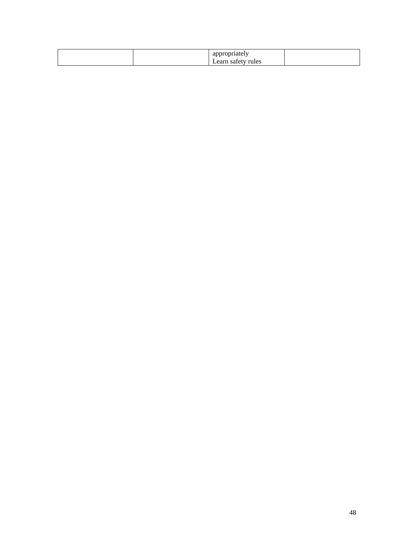| propriately<br>$ -$                                           |       |
|---------------------------------------------------------------|-------|
| Learn<br><u> 1989 - Johann Stoff, Amerikaansk politiker (</u> | Tules |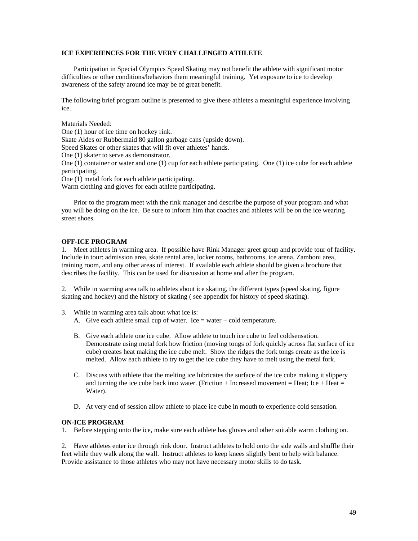### **ICE EXPERIENCES FOR THE VERY CHALLENGED ATHLETE**

Participation in Special Olympics Speed Skating may not benefit the athlete with significant motor difficulties or other conditions/behaviors them meaningful training. Yet exposure to ice to develop awareness of the safety around ice may be of great benefit.

The following brief program outline is presented to give these athletes a meaningful experience involving ice.

Materials Needed:

One (1) hour of ice time on hockey rink. Skate Aides or Rubbermaid 80 gallon garbage cans (upside down). Speed Skates or other skates that will fit over athletes' hands. One (1) skater to serve as demonstrator. One (1) container or water and one (1) cup for each athlete participating. One (1) ice cube for each athlete participating. One (1) metal fork for each athlete participating. Warm clothing and gloves for each athlete participating.

Prior to the program meet with the rink manager and describe the purpose of your program and what you will be doing on the ice. Be sure to inform him that coaches and athletes will be on the ice wearing street shoes.

#### **OFF-ICE PROGRAM**

1. Meet athletes in warming area. If possible have Rink Manager greet group and provide tour of facility. Include in tour: admission area, skate rental area, locker rooms, bathrooms, ice arena, Zamboni area, training room, and any other areas of interest. If available each athlete should be given a brochure that describes the facility. This can be used for discussion at home and after the program.

2. While in warming area talk to athletes about ice skating, the different types (speed skating, figure skating and hockey) and the history of skating ( see appendix for history of speed skating).

- 3. While in warming area talk about what ice is:
	- A. Give each athlete small cup of water. Ice  $=$  water  $+$  cold temperature.
	- B. Give each athlete one ice cube. Allow athlete to touch ice cube to feel coldsensation. Demonstrate using metal fork how friction (moving tongs of fork quickly across flat surface of ice cube) creates heat making the ice cube melt. Show the ridges the fork tongs create as the ice is melted. Allow each athlete to try to get the ice cube they have to melt using the metal fork.
	- C. Discuss with athlete that the melting ice lubricates the surface of the ice cube making it slippery and turning the ice cube back into water. (Friction + Increased movement = Heat; Ice + Heat = Water).
	- D. At very end of session allow athlete to place ice cube in mouth to experience cold sensation.

#### **ON-ICE PROGRAM**

1. Before stepping onto the ice, make sure each athlete has gloves and other suitable warm clothing on.

2. Have athletes enter ice through rink door. Instruct athletes to hold onto the side walls and shuffle their feet while they walk along the wall. Instruct athletes to keep knees slightly bent to help with balance. Provide assistance to those athletes who may not have necessary motor skills to do task.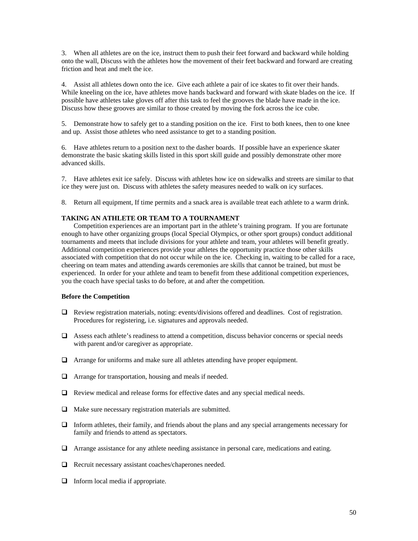3. When all athletes are on the ice, instruct them to push their feet forward and backward while holding onto the wall, Discuss with the athletes how the movement of their feet backward and forward are creating friction and heat and melt the ice.

4. Assist all athletes down onto the ice. Give each athlete a pair of ice skates to fit over their hands. While kneeling on the ice, have athletes move hands backward and forward with skate blades on the ice. If possible have athletes take gloves off after this task to feel the grooves the blade have made in the ice. Discuss how these grooves are similar to those created by moving the fork across the ice cube.

5. Demonstrate how to safely get to a standing position on the ice. First to both knees, then to one knee and up. Assist those athletes who need assistance to get to a standing position.

6. Have athletes return to a position next to the dasher boards. If possible have an experience skater demonstrate the basic skating skills listed in this sport skill guide and possibly demonstrate other more advanced skills.

7. Have athletes exit ice safely. Discuss with athletes how ice on sidewalks and streets are similar to that ice they were just on. Discuss with athletes the safety measures needed to walk on icy surfaces.

8. Return all equipment, If time permits and a snack area is available treat each athlete to a warm drink.

### **TAKING AN ATHLETE OR TEAM TO A TOURNAMENT**

Competition experiences are an important part in the athlete's training program. If you are fortunate enough to have other organizing groups (local Special Olympics, or other sport groups) conduct additional tournaments and meets that include divisions for your athlete and team, your athletes will benefit greatly. Additional competition experiences provide your athletes the opportunity practice those other skills associated with competition that do not occur while on the ice. Checking in, waiting to be called for a race, cheering on team mates and attending awards ceremonies are skills that cannot be trained, but must be experienced. In order for your athlete and team to benefit from these additional competition experiences, you the coach have special tasks to do before, at and after the competition.

#### **Before the Competition**

- Review registration materials, noting: events/divisions offered and deadlines. Cost of registration. Procedures for registering, i.e. signatures and approvals needed.
- $\Box$  Assess each athlete's readiness to attend a competition, discuss behavior concerns or special needs with parent and/or caregiver as appropriate.
- Arrange for uniforms and make sure all athletes attending have proper equipment.
- $\Box$  Arrange for transportation, housing and meals if needed.
- $\Box$  Review medical and release forms for effective dates and any special medical needs.
- $\Box$  Make sure necessary registration materials are submitted.
- Inform athletes, their family, and friends about the plans and any special arrangements necessary for family and friends to attend as spectators.
- Arrange assistance for any athlete needing assistance in personal care, medications and eating.
- $\Box$  Recruit necessary assistant coaches/chaperones needed.
- $\Box$  Inform local media if appropriate.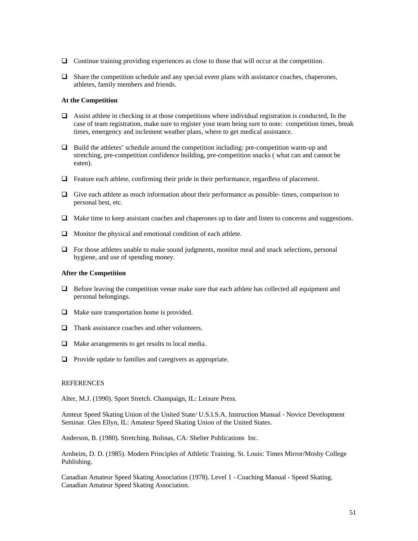- Continue training providing experiences as close to those that will occur at the competition.
- $\Box$  Share the competition schedule and any special event plans with assistance coaches, chaperones, athletes, family members and friends.

#### **At the Competition**

- $\Box$  Assist athlete in checking in at those competitions where individual registration is conducted, In the case of team registration, make sure to register your team being sure to note: competition times, break times, emergency and inclement weather plans, where to get medical assistance.
- $\Box$  Build the athletes' schedule around the competition including: pre-competition warm-up and stretching, pre-competition confidence building, pre-competition snacks ( what can and cannot be eaten).
- $\Box$  Feature each athlete, confirming their pride in their performance, regardless of placement.
- $\Box$  Give each athlete as much information about their performance as possible- times, comparison to personal best, etc.
- Make time to keep assistant coaches and chaperones up to date and listen to concerns and suggestions.
- $\Box$  Monitor the physical and emotional condition of each athlete.
- $\Box$  For those athletes unable to make sound judgments, monitor meal and snack selections, personal hygiene, and use of spending money.

#### **After the Competition**

- $\Box$  Before leaving the competition venue make sure that each athlete has collected all equipment and personal belongings.
- $\Box$  Make sure transportation home is provided.
- $\Box$  Thank assistance coaches and other volunteers.
- $\Box$  Make arrangements to get results to local media.
- $\Box$  Provide update to families and caregivers as appropriate.

#### REFERENCES

Alter, M.J. (1990). Sport Stretch. Champaign, IL: Leisure Press.

Amteur Speed Skating Union of the United State/ U.S.I.S.A. Instruction Manual - Novice Development Seminar. Glen Ellyn, IL: Amateur Speed Skating Union of the United States.

Anderson, B. (1980). Stretching. Bolinas, CA: Shelter Publications Inc.

Arnheim, D. D. (1985). Modern Principles of Athletic Training. St. Louis: Times Mirror/Mosby College Publishing.

Canadian Amateur Speed Skating Association (1978). Level 1 - Coaching Manual - Speed Skating. Canadian Amateur Speed Skating Association.